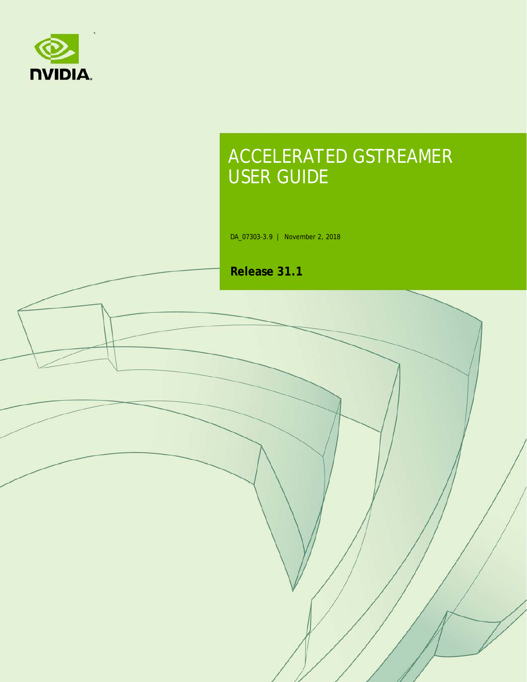

# ACCELERATED GSTREAMER USER GUIDE

DA\_07303-3.9 | November 2, 2018

**Release 31.1**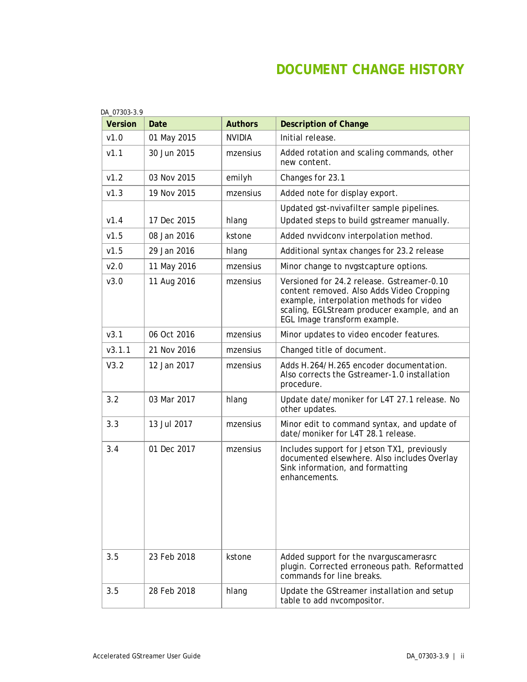## **DOCUMENT CHANGE HISTORY**

| <b>Version</b> | Date        | <b>Authors</b> | <b>Description of Change</b>                                                                                                                                                                                       |
|----------------|-------------|----------------|--------------------------------------------------------------------------------------------------------------------------------------------------------------------------------------------------------------------|
| v1.0           | 01 May 2015 | <b>NVIDIA</b>  | Initial release.                                                                                                                                                                                                   |
| V1.1           | 30 Jun 2015 | mzensius       | Added rotation and scaling commands, other<br>new content.                                                                                                                                                         |
| v1.2           | 03 Nov 2015 | emilyh         | Changes for 23.1                                                                                                                                                                                                   |
| v1.3           | 19 Nov 2015 | mzensius       | Added note for display export.                                                                                                                                                                                     |
| V1.4           | 17 Dec 2015 | hlang          | Updated gst-nvivafilter sample pipelines.<br>Updated steps to build gstreamer manually.                                                                                                                            |
| v1.5           | 08 Jan 2016 | kstone         | Added nvvidconv interpolation method.                                                                                                                                                                              |
| v1.5           | 29 Jan 2016 | hlang          | Additional syntax changes for 23.2 release                                                                                                                                                                         |
| v2.0           | 11 May 2016 | mzensius       | Minor change to nvgstcapture options.                                                                                                                                                                              |
| V3.0           | 11 Aug 2016 | mzensius       | Versioned for 24.2 release. Gstreamer-0.10<br>content removed. Also Adds Video Cropping<br>example, interpolation methods for video<br>scaling, EGLStream producer example, and an<br>EGL Image transform example. |
| V3.1           | 06 Oct 2016 | mzensius       | Minor updates to video encoder features.                                                                                                                                                                           |
| V3.1.1         | 21 Nov 2016 | mzensius       | Changed title of document.                                                                                                                                                                                         |
| V3.2           | 12 Jan 2017 | mzensius       | Adds H.264/H.265 encoder documentation.<br>Also corrects the Gstreamer-1.0 installation<br>procedure.                                                                                                              |
| 3.2            | 03 Mar 2017 | hlang          | Update date/moniker for L4T 27.1 release. No<br>other updates.                                                                                                                                                     |
| 3.3            | 13 Jul 2017 | mzensius       | Minor edit to command syntax, and update of<br>date/moniker for L4T 28.1 release.                                                                                                                                  |
| 3.4            | 01 Dec 2017 | mzensius       | Includes support for Jetson TX1, previously<br>documented elsewhere. Also includes Overlay<br>Sink information, and formatting<br>enhancements.                                                                    |
| 3.5            | 23 Feb 2018 | kstone         | Added support for the nvarguscamerasrc<br>plugin. Corrected erroneous path. Reformatted<br>commands for line breaks.                                                                                               |
| 3.5            | 28 Feb 2018 | hlang          | Update the GStreamer installation and setup<br>table to add nvcompositor.                                                                                                                                          |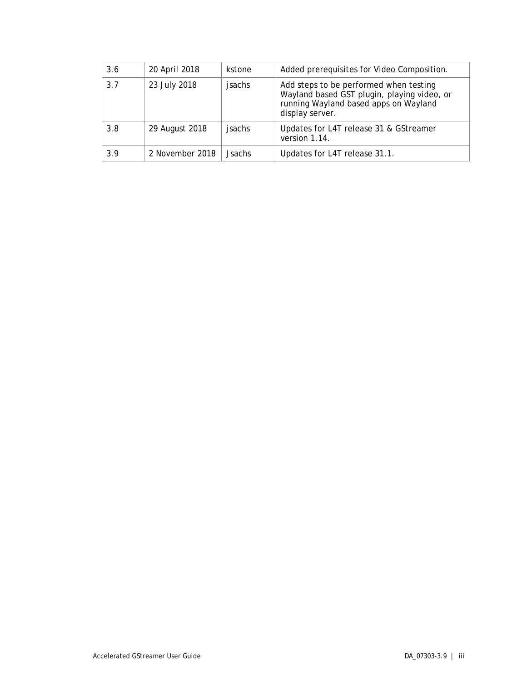| 3.6 | 20 April 2018   | kstone        | Added prerequisites for Video Composition.                                                                                                        |
|-----|-----------------|---------------|---------------------------------------------------------------------------------------------------------------------------------------------------|
| 3.7 | 23 July 2018    | jsachs        | Add steps to be performed when testing<br>Wayland based GST plugin, playing video, or<br>running Wayland based apps on Wayland<br>display server. |
| 3.8 | 29 August 2018  | jsachs        | Updates for L4T release 31 & GStreamer<br>version 1.14.                                                                                           |
| 3.9 | 2 November 2018 | <b>Jsachs</b> | Updates for L4T release 31.1.                                                                                                                     |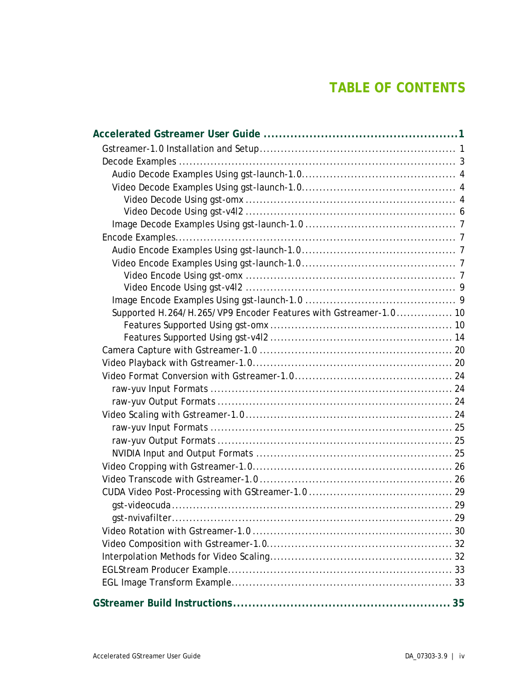## **TABLE OF CONTENTS**

| Supported H.264/H.265/VP9 Encoder Features with Gstreamer-1.0 10 |  |
|------------------------------------------------------------------|--|
|                                                                  |  |
|                                                                  |  |
|                                                                  |  |
|                                                                  |  |
|                                                                  |  |
|                                                                  |  |
|                                                                  |  |
|                                                                  |  |
|                                                                  |  |
|                                                                  |  |
|                                                                  |  |
|                                                                  |  |
|                                                                  |  |
|                                                                  |  |
|                                                                  |  |
|                                                                  |  |
|                                                                  |  |
|                                                                  |  |
|                                                                  |  |
|                                                                  |  |
|                                                                  |  |
|                                                                  |  |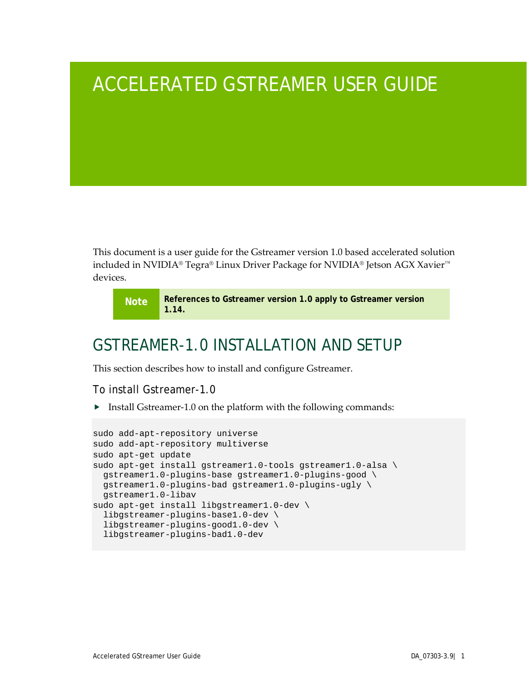# <span id="page-5-0"></span>ACCELERATED GSTREAMER USER GUIDE

This document is a user guide for the Gstreamer version 1.0 based accelerated solution included in NVIDIA® Tegra® Linux Driver Package for NVIDIA® Jetson AGX Xavier™ devices.

**Note References to Gstreamer version 1.0 apply to Gstreamer version 1.14.**

## <span id="page-5-1"></span>GSTREAMER-1.0 INSTALLATION AND SETUP

This section describes how to install and configure Gstreamer.

To install Gstreamer-1.0

 $\triangleright$  Install Gstreamer-1.0 on the platform with the following commands:

```
sudo add-apt-repository universe
sudo add-apt-repository multiverse
sudo apt-get update
sudo apt-get install gstreamer1.0-tools gstreamer1.0-alsa \
  gstreamer1.0-plugins-base gstreamer1.0-plugins-good \
  gstreamer1.0-plugins-bad gstreamer1.0-plugins-ugly \
  gstreamer1.0-libav
sudo apt-get install libgstreamer1.0-dev \
   libgstreamer-plugins-base1.0-dev \
   libgstreamer-plugins-good1.0-dev \
  libgstreamer-plugins-bad1.0-dev
```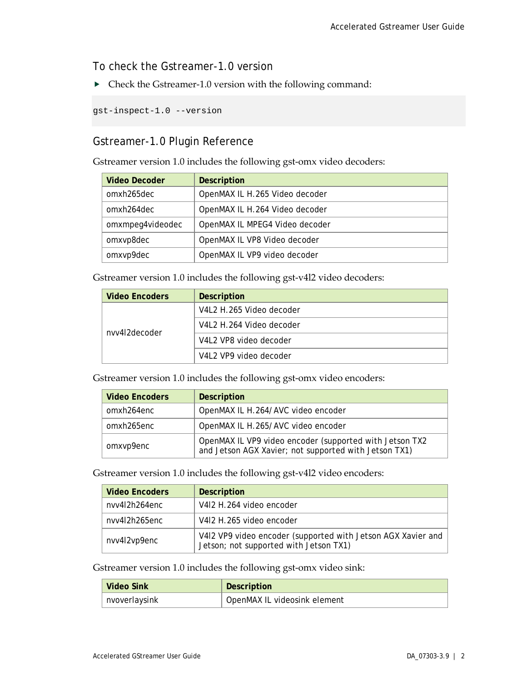To check the Gstreamer-1.0 version

Check the Gstreamer-1.0 version with the following command:

gst-inspect-1.0 --version

## Gstreamer-1.0 Plugin Reference

Gstreamer version 1.0 includes the following gst-omx video decoders:

| <b>Video Decoder</b> | <b>Description</b>             |
|----------------------|--------------------------------|
| omxh265dec           | OpenMAX IL H.265 Video decoder |
| omxh264dec           | OpenMAX IL H.264 Video decoder |
| omxmpeg4videodec     | OpenMAX IL MPEG4 Video decoder |
| omxvp8dec            | OpenMAX IL VP8 Video decoder   |
| omxvp9dec            | OpenMAX IL VP9 video decoder   |

Gstreamer version 1.0 includes the following gst-v4l2 video decoders:

| <b>Video Encoders</b> | <b>Description</b>       |
|-----------------------|--------------------------|
|                       | V4L2 H.265 Video decoder |
| nvv4l2decoder         | V4L2 H.264 Video decoder |
|                       | V4L2 VP8 video decoder   |
|                       | V4L2 VP9 video decoder   |

Gstreamer version 1.0 includes the following gst-omx video encoders:

| <b>Video Encoders</b> | <b>Description</b>                                                                                               |
|-----------------------|------------------------------------------------------------------------------------------------------------------|
| omxh264enc            | OpenMAX IL H.264/AVC video encoder                                                                               |
| omxh265enc            | OpenMAX IL H.265/AVC video encoder                                                                               |
| omxvp9enc             | OpenMAX IL VP9 video encoder (supported with Jetson TX2<br>and Jetson AGX Xavier; not supported with Jetson TX1) |

Gstreamer version 1.0 includes the following gst-v4l2 video encoders:

| <b>Video Encoders</b> | <b>Description</b>                                                                                     |
|-----------------------|--------------------------------------------------------------------------------------------------------|
| nvv4l2h264enc         | V412 H.264 video encoder                                                                               |
| nvv4l2h265enc         | V412 H.265 video encoder                                                                               |
| nvv4l2vp9enc          | V4I2 VP9 video encoder (supported with Jetson AGX Xavier and<br>Jetson; not supported with Jetson TX1) |

Gstreamer version 1.0 includes the following gst-omx video sink:

| Video Sink    | Description                  |
|---------------|------------------------------|
| nvoverlaysink | OpenMAX IL videosink element |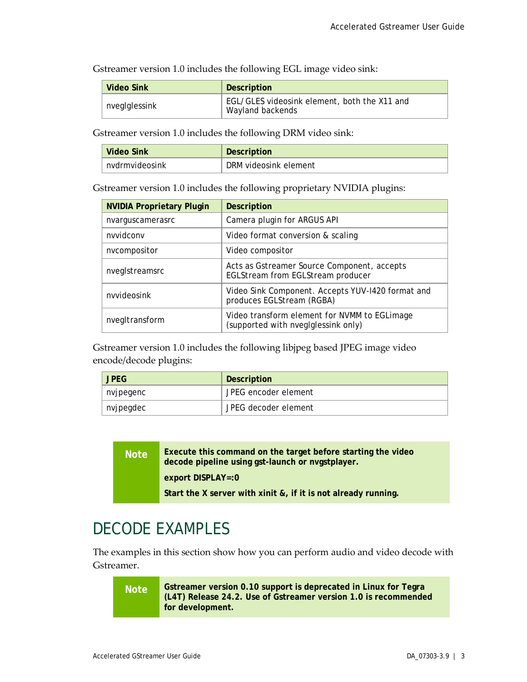Gstreamer version 1.0 includes the following EGL image video sink:

| Video Sink    | Description                                                      |
|---------------|------------------------------------------------------------------|
| nveglglessink | EGL/GLES videosink element, both the X11 and<br>Wayland backends |

Gstreamer version 1.0 includes the following DRM video sink:

| Video Sink     | <b>Description</b>    |
|----------------|-----------------------|
| nydrmyideosink | DRM videosink element |

Gstreamer version 1.0 includes the following proprietary NVIDIA plugins:

| <b>NVIDIA Proprietary Plugin</b> | <b>Description</b>                                                                  |
|----------------------------------|-------------------------------------------------------------------------------------|
| nvarguscamerasrc                 | Camera plugin for ARGUS API                                                         |
| nvvidconv                        | Video format conversion & scaling                                                   |
| nvcompositor                     | Video compositor                                                                    |
| nveglstreamsrc                   | Acts as Gstreamer Source Component, accepts<br>EGLStream from EGLStream producer    |
| nvvideosink                      | Video Sink Component. Accepts YUV-1420 format and<br>produces EGLStream (RGBA)      |
| nvegItransform                   | Video transform element for NVMM to EGLimage<br>(supported with nvegIglessink only) |

Gstreamer version 1.0 includes the following libjpeg based JPEG image video encode/decode plugins:

| <b>JPEG</b> | Description          |  |
|-------------|----------------------|--|
| nvjpeqenc   | JPEG encoder element |  |
| nvjpegdec   | JPEG decoder element |  |

**Note Execute this command on the target before starting the video decode pipeline using gst-launch or nvgstplayer.**

**export DISPLAY=:0**

**Start the X server with xinit &, if it is not already running.**

## <span id="page-7-0"></span>DECODE EXAMPLES

The examples in this section show how you can perform audio and video decode with Gstreamer.

**Note Gstreamer version 0.10 support is deprecated in Linux for Tegra (L4T) Release 24.2. Use of Gstreamer version 1.0 is recommended for development.**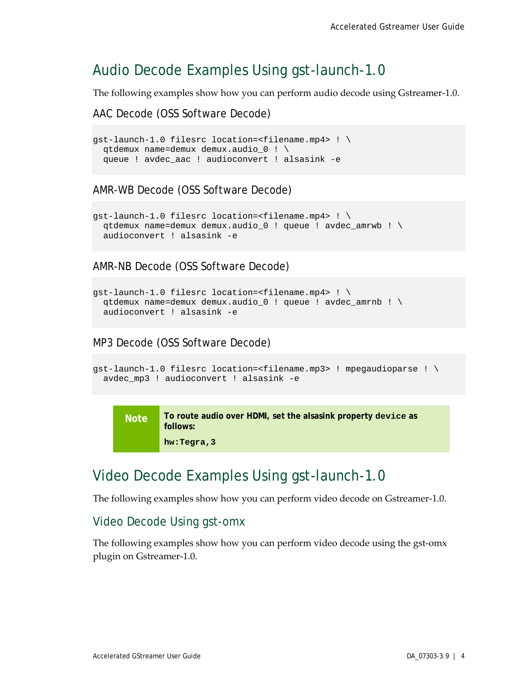## <span id="page-8-0"></span>Audio Decode Examples Using gst-launch-1.0

The following examples show how you can perform audio decode using Gstreamer-1.0.

AAC Decode (OSS Software Decode)

```
gst-launch-1.0 filesrc location=<filename.mp4> ! \
  qtdemux name=demux demux.audio_0 ! \
  queue ! avdec_aac ! audioconvert ! alsasink -e
```
AMR-WB Decode (OSS Software Decode)

```
gst-launch-1.0 filesrc location=<filename.mp4> ! \
  qtdemux name=demux demux.audio_0 ! queue ! avdec_amrwb ! \
  audioconvert ! alsasink -e
```
AMR-NB Decode (OSS Software Decode)

```
gst-launch-1.0 filesrc location=<filename.mp4> ! \
  qtdemux name=demux demux.audio_0 ! queue ! avdec_amrnb ! \
  audioconvert ! alsasink -e
```
MP3 Decode (OSS Software Decode)

```
gst-launch-1.0 filesrc location=<filename.mp3> ! mpegaudioparse ! \
  avdec_mp3 ! audioconvert ! alsasink -e
```
**Note To route audio over HDMI, set the alsasink property device as follows: hw:Tegra,3**

## <span id="page-8-1"></span>Video Decode Examples Using gst-launch-1.0

The following examples show how you can perform video decode on Gstreamer-1.0.

### <span id="page-8-2"></span>Video Decode Using gst-omx

The following examples show how you can perform video decode using the gst-omx plugin on Gstreamer-1.0.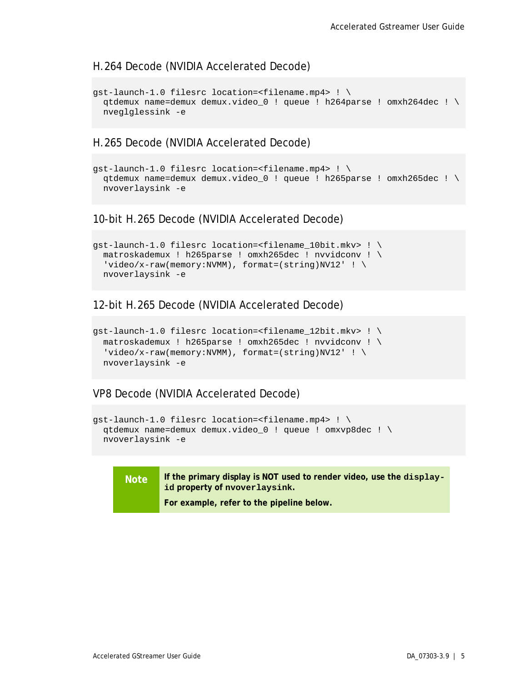### H.264 Decode (NVIDIA Accelerated Decode)

```
gst-launch-1.0 filesrc location=<filename.mp4> ! \
  qtdemux name=demux demux.video_0 ! queue ! h264parse ! omxh264dec ! \
  nveglglessink -e
```
### H.265 Decode (NVIDIA Accelerated Decode)

```
gst-launch-1.0 filesrc location=<filename.mp4> ! \
  qtdemux name=demux demux.video_0 ! queue ! h265parse ! omxh265dec ! \
  nvoverlaysink -e
```
### 10-bit H.265 Decode (NVIDIA Accelerated Decode)

```
gst-launch-1.0 filesrc location=<filename_10bit.mkv> ! \
  matroskademux ! h265parse ! omxh265dec ! nvvidconv ! \
 'video/x-raw(memory:NVMM), format=(string)NV12' ! \
  nvoverlaysink -e
```
### 12-bit H.265 Decode (NVIDIA Accelerated Decode)

```
gst-launch-1.0 filesrc location=<filename_12bit.mkv> ! \
  matroskademux ! h265parse ! omxh265dec ! nvvidconv ! \
 'video/x-raw(memory:NVMM), format=(string)NV12' ! \
  nvoverlaysink -e
```
#### VP8 Decode (NVIDIA Accelerated Decode)

```
gst-launch-1.0 filesrc location=<filename.mp4> ! \
  qtdemux name=demux demux.video_0 ! queue ! omxvp8dec ! \
  nvoverlaysink -e
```
#### **Note If the primary display is NOT used to render video, use the displayid property of nvoverlaysink.**

**For example, refer to the pipeline below.**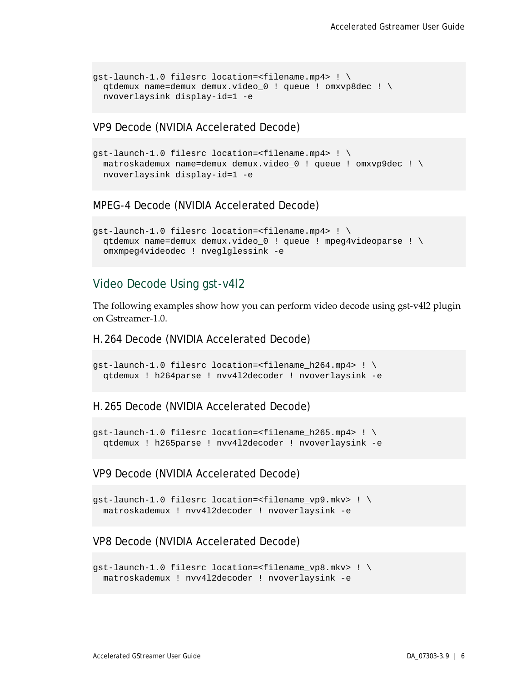```
gst-launch-1.0 filesrc location=<filename.mp4> ! \
  qtdemux name=demux demux.video_0 ! queue ! omxvp8dec ! \
  nvoverlaysink display-id=1 -e
```
VP9 Decode (NVIDIA Accelerated Decode)

```
gst-launch-1.0 filesrc location=<filename.mp4> ! \
  matroskademux name=demux demux.video_0 ! queue ! omxvp9dec ! \
  nvoverlaysink display-id=1 -e
```
### MPEG-4 Decode (NVIDIA Accelerated Decode)

```
gst-launch-1.0 filesrc location=<filename.mp4> ! \
  qtdemux name=demux demux.video_0 ! queue ! mpeg4videoparse ! \
  omxmpeg4videodec ! nveglglessink -e
```
### <span id="page-10-0"></span>Video Decode Using gst-v4l2

The following examples show how you can perform video decode using gst-v4l2 plugin on Gstreamer-1.0.

H.264 Decode (NVIDIA Accelerated Decode)

```
qst-launch-1.0 filesrc location=<filename h264.mp4> ! \setminusqtdemux ! h264parse ! nvv4l2decoder ! nvoverlaysink -e
```
#### H.265 Decode (NVIDIA Accelerated Decode)

```
gst-launch-1.0 filesrc location=<filename_h265.mp4> ! \
 qtdemux ! h265parse ! nvv4l2decoder ! nvoverlaysink -e
```
### VP9 Decode (NVIDIA Accelerated Decode)

```
gst-launch-1.0 filesrc location=<filename_vp9.mkv> ! \
 matroskademux ! nvv4l2decoder ! nvoverlaysink -e
```
### VP8 Decode (NVIDIA Accelerated Decode)

```
gst-launch-1.0 filesrc location=<filename_vp8.mkv> ! \
 matroskademux ! nvv4l2decoder ! nvoverlaysink -e
```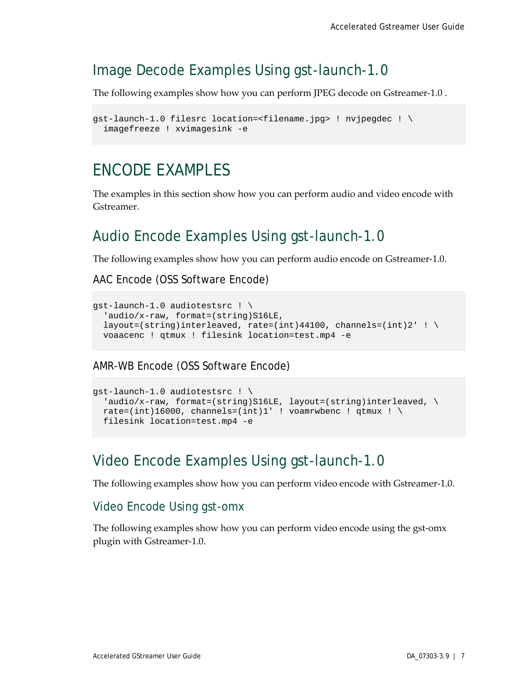## <span id="page-11-0"></span>Image Decode Examples Using gst-launch-1.0

The following examples show how you can perform JPEG decode on Gstreamer-1.0 .

```
gst-launch-1.0 filesrc location=<filename.jpg> ! nvjpegdec ! \
  imagefreeze ! xvimagesink -e
```
## <span id="page-11-1"></span>ENCODE EXAMPLES

The examples in this section show how you can perform audio and video encode with Gstreamer.

## <span id="page-11-2"></span>Audio Encode Examples Using gst-launch-1.0

The following examples show how you can perform audio encode on Gstreamer-1.0.

AAC Encode (OSS Software Encode)

```
gst-launch-1.0 audiotestsrc ! \
 'audio/x-raw, format=(string)S16LE,
 layout=(string)interleaved, rate=(int)44100, channels=(int)2' ! \setminus voaacenc ! qtmux ! filesink location=test.mp4 -e
```
AMR-WB Encode (OSS Software Encode)

```
gst-launch-1.0 audiotestsrc ! \
  'audio/x-raw, format=(string)S16LE, layout=(string)interleaved, \setminusrate=(int)16000, channels=(int)1' ! voamrwbenc ! qtmux ! \setminus filesink location=test.mp4 -e
```
## <span id="page-11-3"></span>Video Encode Examples Using gst-launch-1.0

The following examples show how you can perform video encode with Gstreamer-1.0.

### <span id="page-11-4"></span>Video Encode Using gst-omx

The following examples show how you can perform video encode using the gst-omx plugin with Gstreamer-1.0.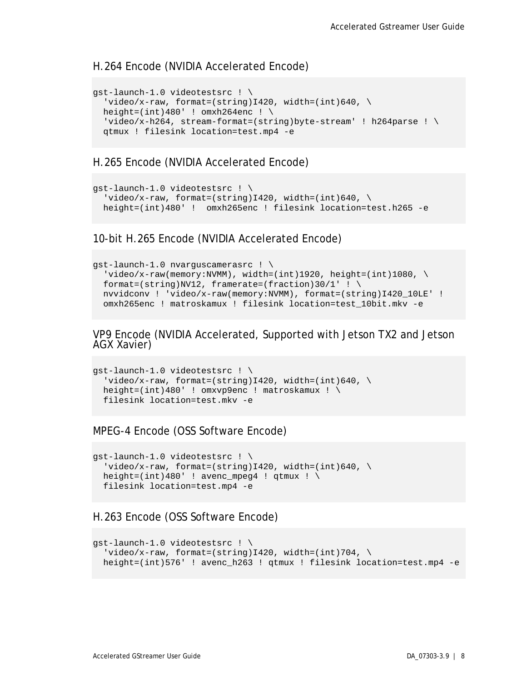### H.264 Encode (NVIDIA Accelerated Encode)

```
gst-launch-1.0 videotestsrc ! \
  'video/x-raw, format=(string)I420, width=(int)640, \setminusheight=(int)480' ! omxh264enc ! \setminus'video/x-h264, stream-format=(string)byte-stream' ! h264parse ! \setminus qtmux ! filesink location=test.mp4 -e
```
### H.265 Encode (NVIDIA Accelerated Encode)

```
gst-launch-1.0 videotestsrc ! \
  'video/x-raw, format=(string)I420, width=(int)640, \setminus height=(int)480' ! omxh265enc ! filesink location=test.h265 -e
```
10-bit H.265 Encode (NVIDIA Accelerated Encode)

```
gst-launch-1.0 nvarguscamerasrc ! \
 'video/x-raw(memory:NVMM), width=(int)1920, height=(int)1080, \
 format=(string)NV12, framerate=(fraction)30/1' ! \
  nvvidconv ! 'video/x-raw(memory:NVMM), format=(string)I420_10LE' ! 
  omxh265enc ! matroskamux ! filesink location=test_10bit.mkv -e
```
VP9 Encode (NVIDIA Accelerated, Supported with Jetson TX2 and Jetson AGX Xavier)

```
gst-launch-1.0 videotestsrc ! \
  'video/x-raw, format=(string)I420, width=(int)640, \setminus height=(int)480' ! omxvp9enc ! matroskamux ! \
  filesink location=test.mkv -e
```
### MPEG-4 Encode (OSS Software Encode)

```
gst-launch-1.0 videotestsrc ! \
  'video/x-raw, format=(string)I420, width=(int)640, \setminusheight=(int)480' ! avenc_mpeg4 ! qtmux ! \setminusfilesink location=test.mp4 -e
```
### H.263 Encode (OSS Software Encode)

```
gst-launch-1.0 videotestsrc ! \
  'video/x-raw, format=(string)I420, width=(int)704, \setminus height=(int)576' ! avenc_h263 ! qtmux ! filesink location=test.mp4 -e
```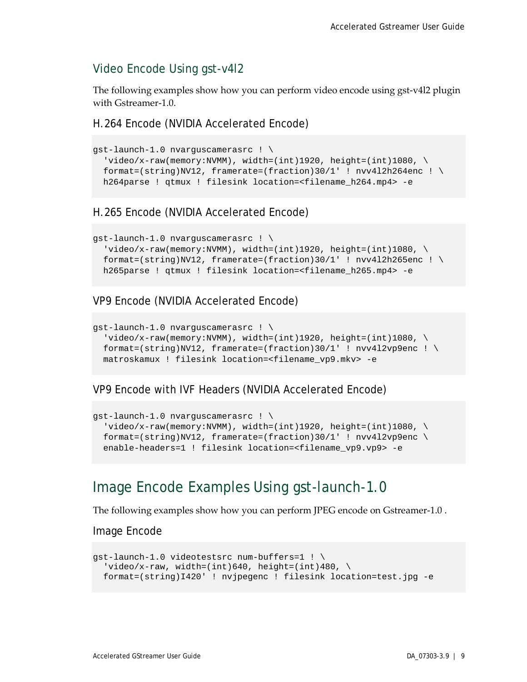## <span id="page-13-0"></span>Video Encode Using gst-v4l2

The following examples show how you can perform video encode using gst-v4l2 plugin with Gstreamer-1.0.

H.264 Encode (NVIDIA Accelerated Encode)

```
gst-launch-1.0 nvarguscamerasrc ! \
  'video/x-raw(memory:NVMM), width=(int)1920, height=(int)1080, \
 format=(string)NV12, framerate=(fraction)30/1' ! nvv412h264enc ! \setminush264parse ! qtmux ! filesink location=<filename_h264.mp4> -e
```
### H.265 Encode (NVIDIA Accelerated Encode)

```
gst-launch-1.0 nvarguscamerasrc ! \
  video/x-raw(memory:NVMM), width=(int)1920, height=(int)1080, \
 format=(string)NV12, framerate=(fraction)30/1' ! nvv412h265enc ! \
 h265parse ! qtmux ! filesink location=<filename_h265.mp4> -e
```
### VP9 Encode (NVIDIA Accelerated Encode)

```
gst-launch-1.0 nvarguscamerasrc ! \
  'video/x-raw(memory:NVMM), width=(int)1920, height=(int)1080, \setminusformat=(string)NV12, framerate=(fraction)30/1' ! nvv4l2vp9enc ! \setminusmatroskamux ! filesink location=<filename_vp9.mkv> -e
```
### VP9 Encode with IVF Headers (NVIDIA Accelerated Encode)

```
gst-launch-1.0 nvarguscamerasrc ! \
  'video/x-raw(memory:NVMM), width=(int)1920, height=(int)1080, \
 format=(string)NV12, framerate=(fraction)30/1' ! nvv4l2vp9enc \
  enable-headers=1 ! filesink location=<filename_vp9.vp9> -e
```
## <span id="page-13-1"></span>Image Encode Examples Using gst-launch-1.0

The following examples show how you can perform JPEG encode on Gstreamer-1.0 .

Image Encode

```
gst-launch-1.0 videotestsrc num-buffers=1 ! \
  'video/x-raw, width=(int)640, height=(int)480, \setminus format=(string)I420' ! nvjpegenc ! filesink location=test.jpg -e
```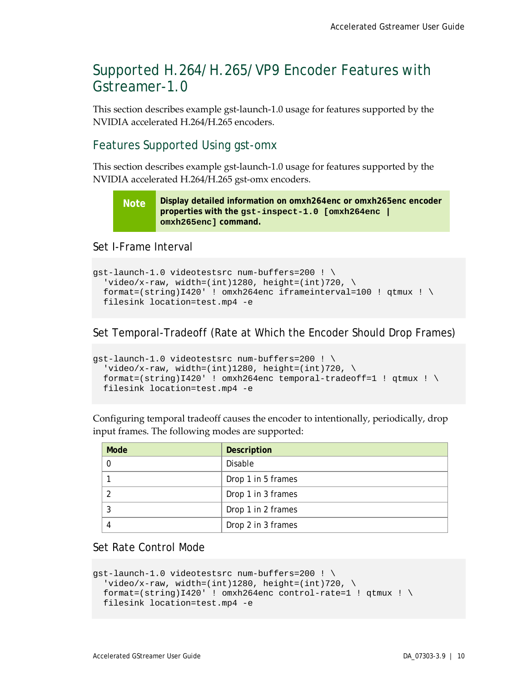## <span id="page-14-0"></span>Supported H.264/H.265/VP9 Encoder Features with Gstreamer-1.0

This section describes example gst-launch-1.0 usage for features supported by the NVIDIA accelerated H.264/H.265 encoders.

## <span id="page-14-1"></span>Features Supported Using gst-omx

This section describes example gst-launch-1.0 usage for features supported by the NVIDIA accelerated H.264/H.265 gst-omx encoders.

**Note Display detailed information on omxh264enc or omxh265enc encoder properties with the gst-inspect-1.0 [omxh264enc | omxh265enc] command.**

Set I-Frame Interval

```
gst-launch-1.0 videotestsrc num-buffers=200 ! \
  'video/x-raw, width=(int)1280, height=(int)720, \
 format=(string)I420' ! omxh264enc iframeinterval=100 ! qtmux ! \
 filesink location=test.mp4 -e
```
Set Temporal-Tradeoff (Rate at Which the Encoder Should Drop Frames)

```
gst-launch-1.0 videotestsrc num-buffers=200 ! \
  'video/x-raw, width=(int)1280, height=(int)720, \setminusformat=(string)I420' ! omxh264enc temporal-tradeoff=1 ! qtmux ! \setminusfilesink location=test.mp4 -e
```
Configuring temporal tradeoff causes the encoder to intentionally, periodically, drop input frames. The following modes are supported:

| Mode | <b>Description</b> |
|------|--------------------|
|      | Disable            |
|      | Drop 1 in 5 frames |
|      | Drop 1 in 3 frames |
|      | Drop 1 in 2 frames |
|      | Drop 2 in 3 frames |

Set Rate Control Mode

```
gst-launch-1.0 videotestsrc num-buffers=200 ! \
 'video/x-raw, width=(int)1280, height=(int)720, \
 format=(string)I420' ! omxh264enc control-rate=1 ! qtmux ! \setminusfilesink location=test.mp4 -e
```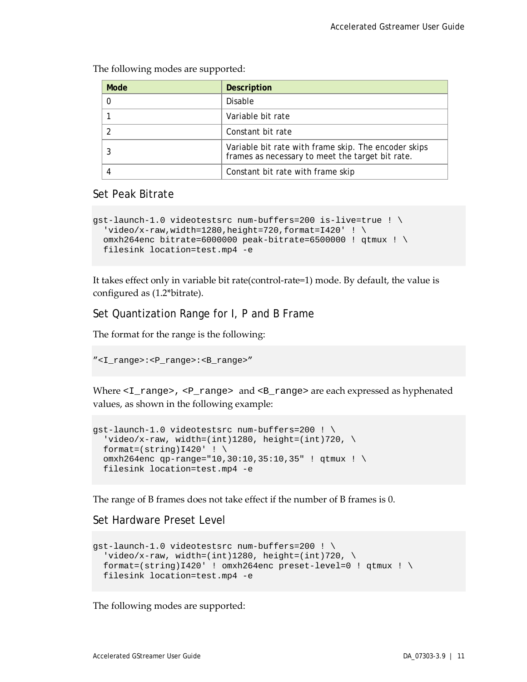The following modes are supported:

| Mode | <b>Description</b>                                                                                       |  |
|------|----------------------------------------------------------------------------------------------------------|--|
|      | Disable                                                                                                  |  |
|      | Variable bit rate                                                                                        |  |
|      | Constant bit rate                                                                                        |  |
|      | Variable bit rate with frame skip. The encoder skips<br>frames as necessary to meet the target bit rate. |  |
|      | Constant bit rate with frame skip                                                                        |  |

### Set Peak Bitrate

```
gst-launch-1.0 videotestsrc num-buffers=200 is-live=true ! \
  'video/x-raw,width=1280,height=720,format=I420' ! \setminusomxh264enc bitrate=6000000 peak-bitrate=6500000 ! qtmux ! \
 filesink location=test.mp4 -e
```
It takes effect only in variable bit rate(control-rate=1) mode. By default, the value is configured as (1.2\*bitrate).

Set Quantization Range for I, P and B Frame

The format for the range is the following:

```
"<I_range>:<P_range>:<B_range>"
```
Where  $\langle I_{\text{range}} \rangle$ ,  $\langle I_{\text{range}} \rangle$  and  $\langle I_{\text{range}} \rangle$  are each expressed as hyphenated values, as shown in the following example:

```
gst-launch-1.0 videotestsrc num-buffers=200 ! \
 'video/x-raw, width=(int)1280, height=(int)720, \setminusformat=(string)1420' ! \
 omxh264enc qp-range="10,30:10,35:10,35" ! qtmux ! \
 filesink location=test.mp4 -e
```
The range of B frames does not take effect if the number of B frames is 0.

Set Hardware Preset Level

```
gst-launch-1.0 videotestsrc num-buffers=200 ! \
  'video/x-raw, width=(int)1280, height=(int)720, \setminusformat=(string)I420' ! omxh264enc preset-level=0 ! qtmux ! \setminusfilesink location=test.mp4 -e
```
The following modes are supported: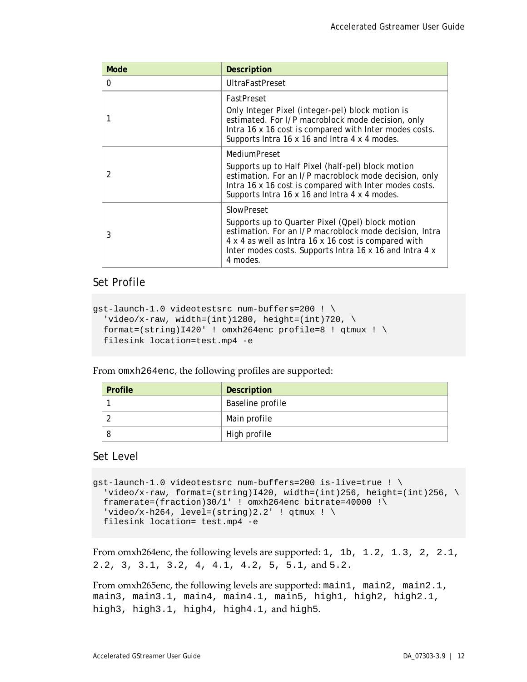| Mode           | <b>Description</b>                                                                                                                                                                                                                                      |  |
|----------------|---------------------------------------------------------------------------------------------------------------------------------------------------------------------------------------------------------------------------------------------------------|--|
| 0              | <b>UltraFastPreset</b>                                                                                                                                                                                                                                  |  |
|                | FastPreset<br>Only Integer Pixel (integer-pel) block motion is<br>estimated. For I/P macroblock mode decision, only<br>Intra 16 x 16 cost is compared with Inter modes costs.<br>Supports Intra 16 x 16 and Intra 4 x 4 modes.                          |  |
| $\mathfrak{D}$ | MediumPreset<br>Supports up to Half Pixel (half-pel) block motion<br>estimation. For an I/P macroblock mode decision, only<br>Intra 16 x 16 cost is compared with Inter modes costs.<br>Supports Intra 16 x 16 and Intra 4 x 4 modes.                   |  |
| 3              | SlowPreset<br>Supports up to Quarter Pixel (Qpel) block motion<br>estimation. For an I/P macroblock mode decision, Intra<br>4 x 4 as well as Intra 16 x 16 cost is compared with<br>Inter modes costs. Supports Intra 16 x 16 and Intra 4 x<br>4 modes. |  |

### Set Profile

```
gst-launch-1.0 videotestsrc num-buffers=200 ! \
  'video/x-raw, width=(int)1280, height=(int)720, \setminusformat=(string)I420' ! omxh264enc profile=8 ! qtmux ! \setminusfilesink location=test.mp4 -e
```
From omxh264enc, the following profiles are supported:

| Profile | Description      |
|---------|------------------|
|         | Baseline profile |
|         | Main profile     |
|         | High profile     |

### Set Level

```
gst-launch-1.0 videotestsrc num-buffers=200 is-live=true ! \
 'video/x-raw, format=(string)I420, width=(int)256, height=(int)256, \setminusframerate=(fraction)30/1' ! omxh264enc bitrate=40000 !\
  'video/x-h264, level=(string)2.2' ! qtmux ! \setminusfilesink location= test.mp4 -e
```

```
From omxh264enc, the following levels are supported: 1, 1b, 1.2, 1.3, 2, 2.1, 
2.2, 3, 3.1, 3.2, 4, 4.1, 4.2, 5, 5.1, and 5.2.
```
From omxh265enc, the following levels are supported: main1, main2, main2.1, main3, main3.1, main4, main4.1, main5, high1, high2, high2.1, high3, high3.1, high4, high4.1, and high5.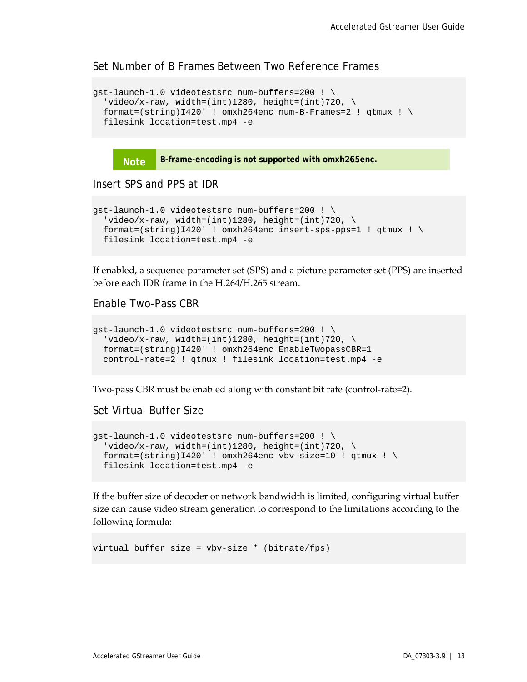Set Number of B Frames Between Two Reference Frames

```
gst-launch-1.0 videotestsrc num-buffers=200 ! \
  'video/x-raw, width=(int)1280, height=(int)720, \setminusformat=(string)I420' ! omxh264enc num-B-Frames=2 ! qtmux ! \setminusfilesink location=test.mp4 -e
```
**Note B-frame-encoding is not supported with omxh265enc.**

Insert SPS and PPS at IDR

```
gst-launch-1.0 videotestsrc num-buffers=200 ! \
  'video/x-raw, width=(int)1280, height=(int)720, \setminusformat=(string)I420' ! omxh264enc insert-sps-pps=1 ! qtmux ! \setminusfilesink location=test.mp4 -e
```
If enabled, a sequence parameter set (SPS) and a picture parameter set (PPS) are inserted before each IDR frame in the H.264/H.265 stream.

Enable Two-Pass CBR

```
gst-launch-1.0 videotestsrc num-buffers=200 ! \
  'video/x-raw, width=(int)1280, height=(int)720, \setminusformat=(string)I420' ! omxh264enc EnableTwopassCBR=1
 control-rate=2 ! qtmux ! filesink location=test.mp4 -e
```
Two-pass CBR must be enabled along with constant bit rate (control-rate=2).

Set Virtual Buffer Size

```
gst-launch-1.0 videotestsrc num-buffers=200 ! \
  'video/x-raw, width=(int)1280, height=(int)720, \
 format=(string)I420' ! omxh264enc vbv-size=10 ! qtmux ! \
 filesink location=test.mp4 -e
```
If the buffer size of decoder or network bandwidth is limited, configuring virtual buffer size can cause video stream generation to correspond to the limitations according to the following formula:

virtual buffer size = vbv-size \* (bitrate/fps)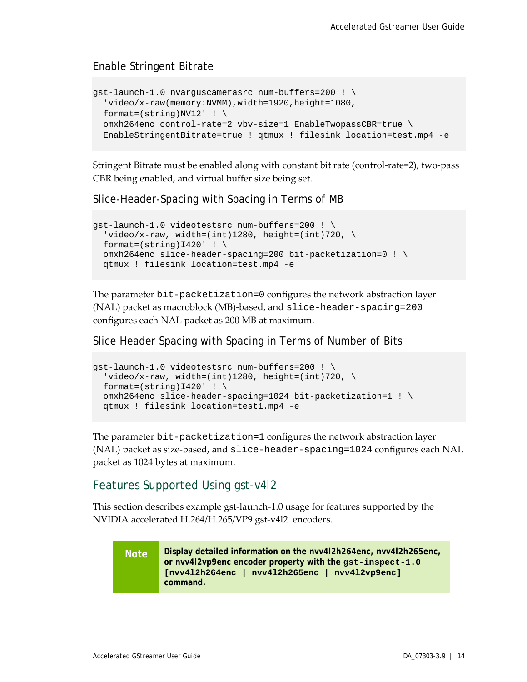## Enable Stringent Bitrate

```
gst-launch-1.0 nvarguscamerasrc num-buffers=200 ! \
  'video/x-raw(memory:NVMM),width=1920,height=1080,
 format=(string)NV12' ! \setminusomxh264enc control-rate=2 vbv-size=1 EnableTwopassCBR=true \
  EnableStringentBitrate=true ! qtmux ! filesink location=test.mp4 -e
```
Stringent Bitrate must be enabled along with constant bit rate (control-rate=2), two-pass CBR being enabled, and virtual buffer size being set.

Slice-Header-Spacing with Spacing in Terms of MB

```
gst-launch-1.0 videotestsrc num-buffers=200 ! \
  'video/x-raw, width=(int)1280, height=(int)720, \setminusformat=(string)1420' ! \
 omxh264enc slice-header-spacing=200 bit-packetization=0 ! \
 qtmux ! filesink location=test.mp4 -e
```
The parameter bit-packetization=0 configures the network abstraction layer (NAL) packet as macroblock (MB)-based, and slice-header-spacing=200 configures each NAL packet as 200 MB at maximum.

Slice Header Spacing with Spacing in Terms of Number of Bits

```
gst-launch-1.0 videotestsrc num-buffers=200 ! \
  'video/x-raw, width=(int)1280, height=(int)720, \setminusformat=(string)1420' ! \
 omxh264enc slice-header-spacing=1024 bit-packetization=1 ! \
 qtmux ! filesink location=test1.mp4 -e
```
The parameter bit-packetization=1 configures the network abstraction layer (NAL) packet as size-based, and slice-header-spacing=1024 configures each NAL packet as 1024 bytes at maximum.

## <span id="page-18-0"></span>Features Supported Using gst-v4l2

This section describes example gst-launch-1.0 usage for features supported by the NVIDIA accelerated H.264/H.265/VP9 gst-v4l2 encoders.

**Note Display detailed information on the nvv4l2h264enc, nvv4l2h265enc, or nvv4l2vp9enc encoder property with the gst-inspect-1.0 [nvv4l2h264enc | nvv4l2h265enc | nvv4l2vp9enc] command.**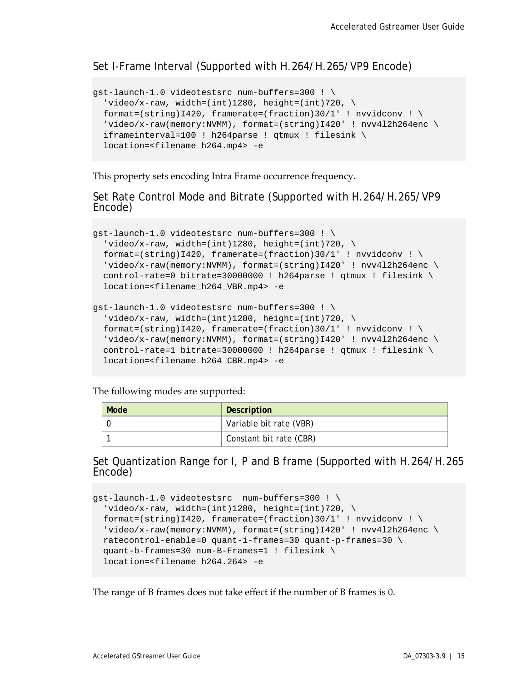### Set I-Frame Interval (Supported with H.264/H.265/VP9 Encode)

```
gst-launch-1.0 videotestsrc num-buffers=300 ! \
  'video/x-raw, width=(int)1280, height=(int)720, \setminusformat=(string)I420, framerate=(fraction)30/1' ! nvvidconv ! \
  video/x-raw(memory:NVMM), format=(string)I420' ! nvv4l2h264enc \
 iframeinterval=100 ! h264parse ! qtmux ! filesink \
 location=<filename_h264.mp4> -e
```
This property sets encoding Intra Frame occurrence frequency.

Set Rate Control Mode and Bitrate (Supported with H.264/H.265/VP9 Encode)

```
gst-launch-1.0 videotestsrc num-buffers=300 ! \
  'video/x-raw, width=(int)1280, height=(int)720, \
 format=(string)I420, framerate=(fraction)30/1' ! nvvidconv ! \setminus'video/x-raw(memory:NVMM), format=(string)I420' ! nvv4l2h264enc \
 control-rate=0 bitrate=30000000 ! h264parse ! qtmux ! filesink \
 location=<filename_h264_VBR.mp4> -e
gst-launch-1.0 videotestsrc num-buffers=300 ! \
  'video/x-raw, width=(int)1280, height=(int)720, \
 format=(string)I420, framerate=(fraction)30/1' ! nvvidconv ! \
  'video/x-raw(memory:NVMM), format=(string)I420' ! nvv4l2h264enc \
  control-rate=1 bitrate=30000000 ! h264parse ! qtmux ! filesink \
  location=<filename_h264_CBR.mp4> -e
```
The following modes are supported:

| Mode | Description             |
|------|-------------------------|
|      | Variable bit rate (VBR) |
|      | Constant bit rate (CBR) |

# Set Quantization Range for I, P and B frame (Supported with H.264/H.265 Encode)

```
gst-launch-1.0 videotestsrc num-buffers=300 ! \
  'video/x-raw, width=(int)1280, height=(int)720, \
 format=(string)I420, framerate=(fraction)30/1' ! nvvidconv ! \setminus'video/x-raw(memory:NVMM), format=(string)I420' ! nvv4l2h264enc \
 ratecontrol-enable=0 quant-i-frames=30 quant-p-frames=30 \
   quant-b-frames=30 num-B-Frames=1 ! filesink \
  location=<filename_h264.264> -e
```
The range of B frames does not take effect if the number of B frames is 0.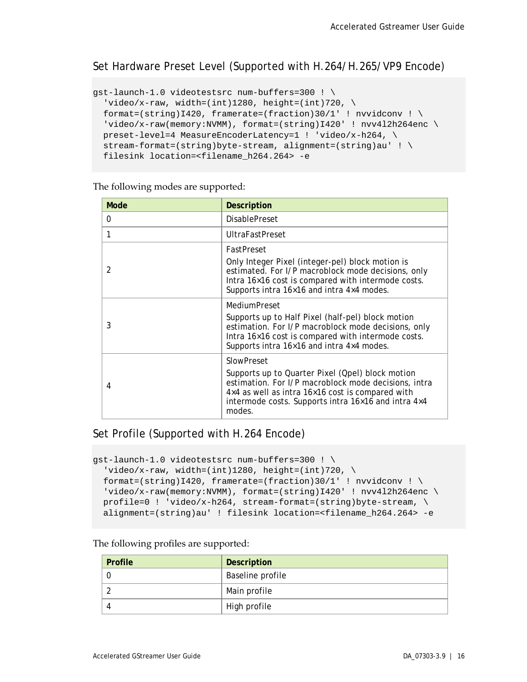Set Hardware Preset Level (Supported with H.264/H.265/VP9 Encode)

```
gst-launch-1.0 videotestsrc num-buffers=300 ! \
  'video/x-raw, width=(int)1280, height=(int)720, \setminusformat=(string)I420, framerate=(fraction)30/1' ! nvvidconv ! \
 'video/x-raw(memory:NVMM), format=(string)I420' ! nvv4l2h264enc \
  preset-level=4 MeasureEncoderLatency=1 ! 'video/x-h264, \
  stream-format=(string)byte-stream, alignment=(string)au' ! \
  filesink location=<filename_h264.264> -e
```
The following modes are supported:

| Mode           | <b>Description</b>                                                                                                                                                                                                                          |  |
|----------------|---------------------------------------------------------------------------------------------------------------------------------------------------------------------------------------------------------------------------------------------|--|
| 0              | <b>DisablePreset</b>                                                                                                                                                                                                                        |  |
|                | <b>UltraFastPreset</b>                                                                                                                                                                                                                      |  |
|                | FastPreset                                                                                                                                                                                                                                  |  |
| $\overline{2}$ | Only Integer Pixel (integer-pel) block motion is<br>estimated. For I/P macroblock mode decisions, only<br>Intra 16×16 cost is compared with intermode costs.<br>Supports intra 16×16 and intra 4×4 modes.                                   |  |
|                | MediumPreset                                                                                                                                                                                                                                |  |
| 3              | Supports up to Half Pixel (half-pel) block motion<br>estimation. For I/P macroblock mode decisions, only<br>Intra 16×16 cost is compared with intermode costs.<br>Supports intra 16×16 and intra 4×4 modes.                                 |  |
|                | SlowPreset                                                                                                                                                                                                                                  |  |
| 4              | Supports up to Quarter Pixel (Qpel) block motion<br>estimation. For I/P macroblock mode decisions, intra<br>4×4 as well as intra 16×16 cost is compared with<br>intermode costs. Supports intra $16\times16$ and intra $4\times4$<br>modes. |  |

### Set Profile (Supported with H.264 Encode)

```
gst-launch-1.0 videotestsrc num-buffers=300 ! \
  'video/x-raw, width=(int)1280, height=(int)720, \backslashformat=(string)I420, framerate=(fraction)30/1' ! nvvidconv ! \setminus'video/x-raw(memory:NVMM), format=(string)I420' ! nvv4l2h264enc \
  profile=0 ! video/x-h264, stream-format=(string)byte-stream, \ \ \ \ \ \alignment=(string)au' ! filesink location=<filename_h264.264> -e
```
The following profiles are supported:

| Profile | <b>Description</b> |
|---------|--------------------|
|         | Baseline profile   |
|         | Main profile       |
|         | High profile       |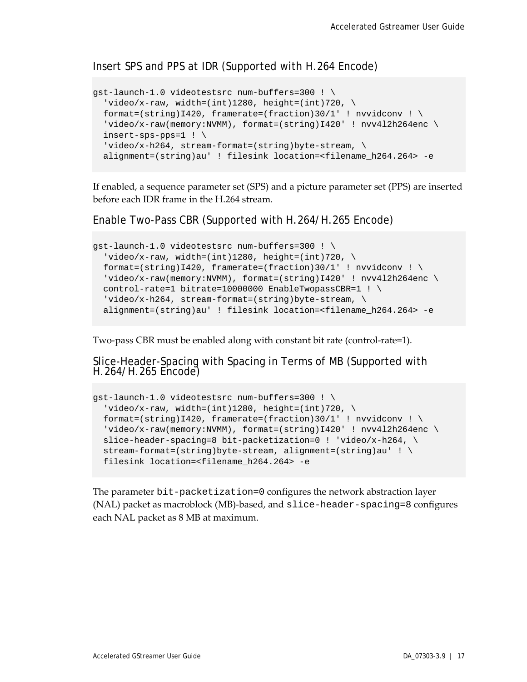Insert SPS and PPS at IDR (Supported with H.264 Encode)

```
gst-launch-1.0 videotestsrc num-buffers=300 ! \
  'video/x-raw, width=(int)1280, height=(int)720, \setminusformat=(string)I420, framerate=(fraction)30/1' ! nvvidconv ! \
 'video/x-raw(memory:NVMM), format=(string)I420' ! nvv412h264enc \
 insert-sps-pps=1 ! \
   'video/x-h264, stream-format=(string)byte-stream, \
 alignment=(string)au' ! filesink location=<filename_h264.264> -e
```
If enabled, a sequence parameter set (SPS) and a picture parameter set (PPS) are inserted before each IDR frame in the H.264 stream.

Enable Two-Pass CBR (Supported with H.264/H.265 Encode)

```
gst-launch-1.0 videotestsrc num-buffers=300 ! \
  'video/x-raw, width=(int)1280, height=(int)720, \backslashformat=(string)I420, framerate=(fraction)30/1' ! nvvidconv ! \setminus'video/x-raw(memory:NVMM), format=(string)I420' ! nvv412h264enc \
 control-rate=1 bitrate=10000000 EnableTwopassCBR=1 ! \
  video/x-h264, stream-format=(string)byte-stream, \
  alignment=(string)au' ! filesink location=<filename_h264.264> -e
```
Two-pass CBR must be enabled along with constant bit rate (control-rate=1).

Slice-Header-Spacing with Spacing in Terms of MB (Supported with H.264/H.265 Encode)

```
gst-launch-1.0 videotestsrc num-buffers=300 ! \
  'video/x-raw, width=(int)1280, height=(int)720, \setminusformat=(string)I420, framerate=(fraction)30/1' ! nvvidconv ! \setminusvideo/x-raw(memory:NVMM), format=(string)I420' ! nvv412h264enc \
 slice-header-spacing=8 bit-packetization=0 ! 'video/x-h264, \
  stream-format=(string)byte-stream, alignment=(string)au' ! \
   filesink location=<filename_h264.264> -e
```
The parameter bit-packetization=0 configures the network abstraction layer (NAL) packet as macroblock (MB)-based, and slice-header-spacing=8 configures each NAL packet as 8 MB at maximum.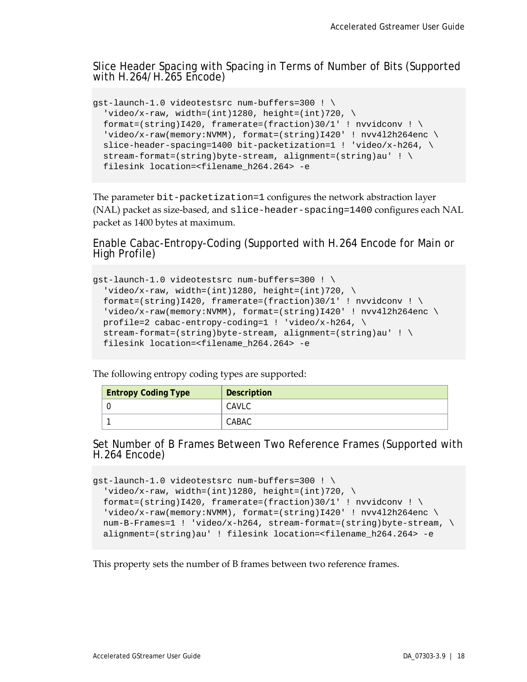Slice Header Spacing with Spacing in Terms of Number of Bits (Supported with H.264/H.265 Encode)

```
gst-launch-1.0 videotestsrc num-buffers=300 ! \
  'video/x-raw, width=(int)1280, height=(int)720, \setminusformat=(string)I420, framerate=(fraction)30/1' ! nvvidconv ! \
  'video/x-raw(memory:NVMM), format=(string)I420' ! nvv4l2h264enc \
 slice-header-spacing=1400 bit-packetization=1 ! 'video/x-h264, \setminus stream-format=(string)byte-stream, alignment=(string)au' ! \
  filesink location=<filename_h264.264> -e
```
The parameter bit-packetization=1 configures the network abstraction layer (NAL) packet as size-based, and slice-header-spacing=1400 configures each NAL packet as 1400 bytes at maximum.

Enable Cabac-Entropy-Coding (Supported with H.264 Encode for Main or High Profile)

```
gst-launch-1.0 videotestsrc num-buffers=300 ! \
  'video/x-raw, width=(int)1280, height=(int)720, \setminusformat=(string)I420, framerate=(fraction)30/1' ! nvvidconv ! \setminus'video/x-raw(memory:NVMM), format=(string)I420' ! nvv4l2h264enc \
  profile=2 cabac-entropy-coding=1 ! 'video/x-h264, \
  stream-format=(string) byte-stream, alignment=(string)au' ! \ \ \ \ \ filesink location=<filename_h264.264> -e
```
The following entropy coding types are supported:

| <b>Entropy Coding Type</b> | Description |
|----------------------------|-------------|
|                            | CAVLC       |
|                            | CABAC       |

Set Number of B Frames Between Two Reference Frames (Supported with H.264 Encode)

```
gst-launch-1.0 videotestsrc num-buffers=300 ! \
  'video/x-raw, width=(int)1280, height=(int)720, \
 format=(string)I420, framerate=(fraction)30/1' ! nvvidconv ! \setminusvideo/x-raw(memory:NVMM), format=(string)I420' ! nvv4l2h264enc \
  num-B-Frames=1 ! 'video/x-h264, stream-format=(string)byte-stream, \
  alignment=(string)au' ! filesink location=<filename_h264.264> -e
```
This property sets the number of B frames between two reference frames.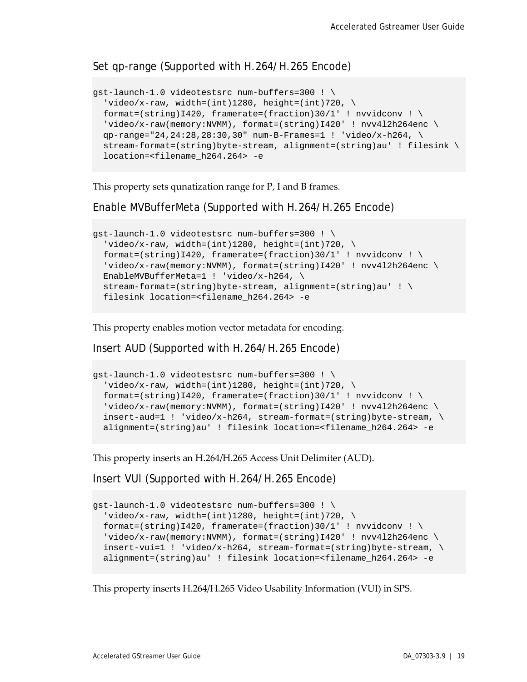### Set qp-range (Supported with H.264/H.265 Encode)

```
gst-launch-1.0 videotestsrc num-buffers=300 ! \
  'video/x-raw, width=(int)1280, height=(int)720, \setminusformat=(string)I420, framerate=(fraction)30/1' ! nvvidconv ! \setminus'video/x-raw(memory:NVMM), format=(string)I420' ! nvv4l2h264enc \
 qp-range="24,24:28,28:30,30" num-B-Frames=1 ! 'video/x-h264, \
  stream-format=(string)byte-stream, alignment=(string)au' ! filesink \
 location=<filename_h264.264> -e
```
This property sets qunatization range for P, I and B frames.

Enable MVBufferMeta (Supported with H.264/H.265 Encode)

```
gst-launch-1.0 videotestsrc num-buffers=300 ! \
  'video/x-raw, width=(int)1280, height=(int)720, \setminusformat=(string)I420, framerate=(fraction)30/1' ! nvvidconv ! \setminus'video/x-raw(memory:NVMM), format=(string)I420' ! nvv412h264enc \
 EnableMVBufferMeta=1 ! 'video/x-h264, \
  stream-format=(string)byte-stream, alignment=(string)au' ! \
  filesink location=<filename_h264.264> -e
```
This property enables motion vector metadata for encoding.

Insert AUD (Supported with H.264/H.265 Encode)

```
gst-launch-1.0 videotestsrc num-buffers=300 ! \
  'video/x-raw, width=(int)1280, height=(int)720, \backslashformat=(string)I420, framerate=(fraction)30/1' ! nvvidconv ! \setminus'video/x-raw(memory:NVMM), format=(string)I420' ! nvv412h264enc \
 insert -aud =1 ! video/x-h264, stream-formate(sstring)byte-stream, \Diamondalignment=(string)au' ! filesink location=<filename_h264.264> -e
```
This property inserts an H.264/H.265 Access Unit Delimiter (AUD).

Insert VUI (Supported with H.264/H.265 Encode)

```
gst-launch-1.0 videotestsrc num-buffers=300 ! \
  'video/x-raw, width=(int)1280, height=(int)720, \backslashformat=(string)I420, framerate=(fraction)30/1' ! nvvidconv ! \
  'video/x-raw(memory:NVMM), format=(string)I420' ! nvv4l2h264enc \
 insert-vui=1 ! video/x-h264, stream-format=(string)byte-stream, \ \ \ \ \ \ \alignment=(string)au' ! filesink location=<filename_h264.264> -e
```
This property inserts H.264/H.265 Video Usability Information (VUI) in SPS.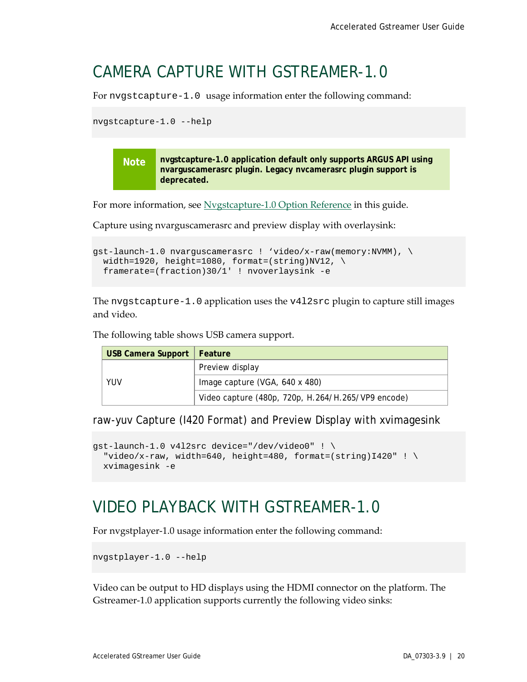## <span id="page-24-0"></span>CAMERA CAPTURE WITH GSTREAMER-1.0

For nvgstcapture-1.0 usage information enter the following command:

```
nvgstcapture-1.0 --help
```
**Note nvgstcapture-1.0 application default only supports ARGUS API using nvarguscamerasrc plugin. Legacy nvcamerasrc plugin support is deprecated.**

For more information, see [Nvgstcapture-1.0 Option Reference](#page-42-0) in this guide.

Capture using nvarguscamerasrc and preview display with overlaysink:

```
gst-launch-1.0 nvarguscamerasrc ! 'video/x-raw(memory:NVMM), \
 width=1920, height=1080, format=(string)NV12, \setminus framerate=(fraction)30/1' ! nvoverlaysink -e
```
The nvgstcapture-1.0 application uses the v4l2src plugin to capture still images and video.

The following table shows USB camera support.

| USB Camera Support   Feature |                                                    |  |
|------------------------------|----------------------------------------------------|--|
|                              | Preview display                                    |  |
| YUV                          | Image capture (VGA, 640 x 480)                     |  |
|                              | Video capture (480p, 720p, H.264/H.265/VP9 encode) |  |

raw-yuv Capture (I420 Format) and Preview Display with xvimagesink

```
gst-launch-1.0 v4l2src device="/dev/video0" ! \
  "video/x-raw, width=640, height=480, format=(string)I420" ! \setminusxvimagesink -e
```
## <span id="page-24-1"></span>VIDEO PLAYBACK WITH GSTREAMER-1.0

For nvgstplayer-1.0 usage information enter the following command:

nvgstplayer-1.0 --help

Video can be output to HD displays using the HDMI connector on the platform. The Gstreamer-1.0 application supports currently the following video sinks: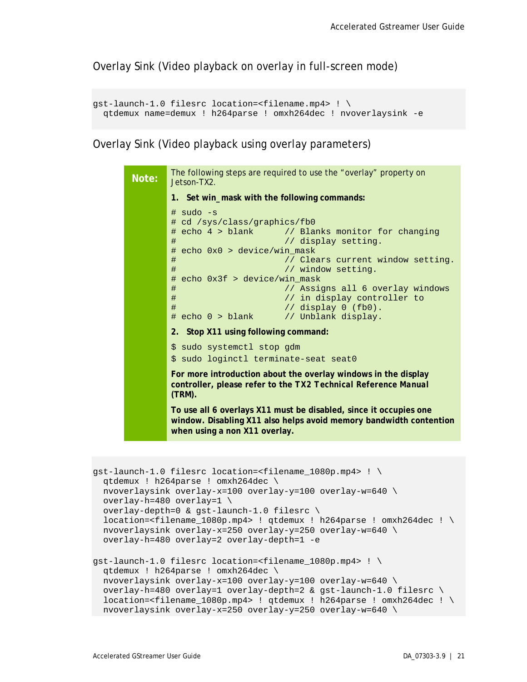Overlay Sink (Video playback on overlay in full-screen mode)

```
gst-launch-1.0 filesrc location=<filename.mp4> ! \
 qtdemux name=demux ! h264parse ! omxh264dec ! nvoverlaysink -e
```
Overlay Sink (Video playback using overlay parameters)

```
Note: The following steps are required to use the "overlay" property on<br>Note: letep TY2
        Jetson-TX2.
        1. Set win_mask with the following commands:
        # sudo -s
        # cd /sys/class/graphics/fb0
        # echo 4 > blank // Blanks monitor for changing<br># // display setting.
                                 // display setting.
        # echo 0x0 > device/win_mask
        # // Clears current window setting.<br># // window setting.
                                 // window setting.
        # echo 0x3f > device/win_mask
        # // Assigns all 6 overlay windows
        # // in display controller to
        # // display 0 (fb0).<br># echo 0 > blank // Unblank display.
                                // Unblank display.
        2. Stop X11 using following command:
        $ sudo systemctl stop gdm
        $ sudo loginctl terminate-seat seat0
        For more introduction about the overlay windows in the display 
        controller, please refer to the TX2 Technical Reference Manual
        (TRM).
        To use all 6 overlays X11 must be disabled, since it occupies one 
        window. Disabling X11 also helps avoid memory bandwidth contention 
        when using a non X11 overlay.
```

```
gst-launch-1.0 filesrc location=<filename_1080p.mp4> ! \
 qtdemux ! h264parse ! omxh264dec \
 nvoverlaysink overlay-x=100 overlay-y=100 overlay-w=640 \
 overlay-h=480 overlay=1 \
 overlay-depth=0 & gst-launch-1.0 filesrc \
 location=<filename_1080p.mp4> ! qtdemux ! h264parse ! omxh264dec ! \setminusnvoverlaysink overlay-x=250 overlay-y=250 overlay-w=640 \
 overlay-h=480 overlay=2 overlay-depth=1 -e
qst-launch-1.0 filesrc location=<filename 1080p.mp4> ! \setminusqtdemux ! h264parse ! omxh264dec \
 nvoverlaysink overlay-x=100 overlay-y=100 overlay-w=640 \
 overlay-h=480 overlay=1 overlay-depth=2 & gst-launch-1.0 filesrc \
  location=<filename_1080p.mp4> ! qtdemux ! h264parse ! omxh264dec ! \
 nvoverlaysink overlay-x=250 overlay-y=250 overlay-w=640 \
```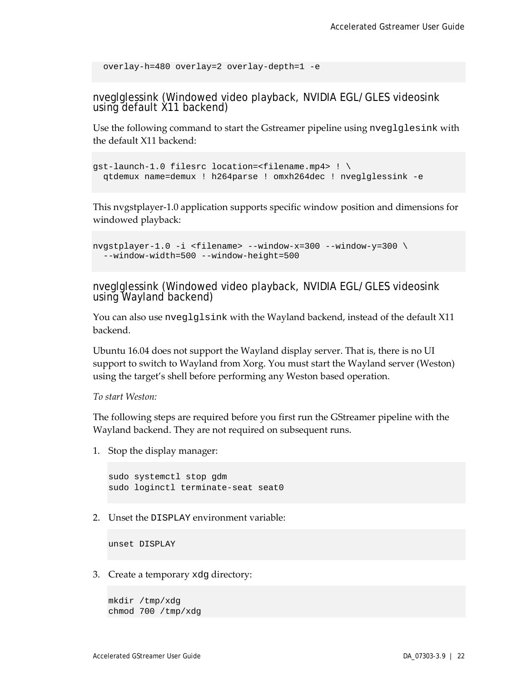```
 overlay-h=480 overlay=2 overlay-depth=1 -e
```
nveglglessink (Windowed video playback, NVIDIA EGL/GLES videosink using default X11 backend)

Use the following command to start the Gstreamer pipeline using nveglglesink with the default X11 backend:

```
gst-launch-1.0 filesrc location=<filename.mp4> ! \
 qtdemux name=demux ! h264parse ! omxh264dec ! nveglglessink -e
```
This nvgstplayer-1.0 application supports specific window position and dimensions for windowed playback:

```
nvgstplayer-1.0 -i <filename> --window-x=300 --window-y=300 \
 --window-width=500 --window-height=500
```
nveglglessink (Windowed video playback, NVIDIA EGL/GLES videosink using Wayland backend)

You can also use nveglglsink with the Wayland backend, instead of the default X11 backend.

Ubuntu 16.04 does not support the Wayland display server. That is, there is no UI support to switch to Wayland from Xorg. You must start the Wayland server (Weston) using the target's shell before performing any Weston based operation.

*To start Weston:*

The following steps are required before you first run the GStreamer pipeline with the Wayland backend. They are not required on subsequent runs.

1. Stop the display manager:

```
sudo systemctl stop gdm
sudo loginctl terminate-seat seat0
```
2. Unset the DISPLAY environment variable:

unset DISPLAY

3. Create a temporary xdg directory:

mkdir /tmp/xdg chmod 700 /tmp/xdg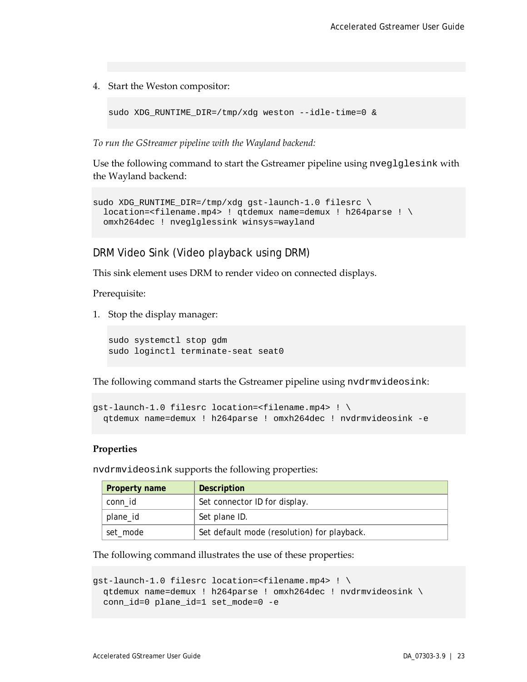4. Start the Weston compositor:

sudo XDG\_RUNTIME\_DIR=/tmp/xdg weston --idle-time=0 &

*To run the GStreamer pipeline with the Wayland backend:*

Use the following command to start the Gstreamer pipeline using nveglglesink with the Wayland backend:

```
sudo XDG_RUNTIME_DIR=/tmp/xdg gst-launch-1.0 filesrc \
 location=<filename.mp4> ! qtdemux name=demux ! h264parse ! \
  omxh264dec ! nveglglessink winsys=wayland
```
DRM Video Sink (Video playback using DRM)

This sink element uses DRM to render video on connected displays.

Prerequisite:

1. Stop the display manager:

```
sudo systemctl stop gdm
sudo loginctl terminate-seat seat0
```
The following command starts the Gstreamer pipeline using nvdrmvideosink:

```
gst-launch-1.0 filesrc location=<filename.mp4> ! \
  qtdemux name=demux ! h264parse ! omxh264dec ! nvdrmvideosink -e
```
#### **Properties**

nvdrmvideosink supports the following properties:

| Property name | <b>Description</b>                          |
|---------------|---------------------------------------------|
| conn id       | Set connector ID for display.               |
| plane_id      | Set plane ID.                               |
| set_mode      | Set default mode (resolution) for playback. |

The following command illustrates the use of these properties:

```
gst-launch-1.0 filesrc location=<filename.mp4> ! \
  qtdemux name=demux ! h264parse ! omxh264dec ! nvdrmvideosink \
  conn_id=0 plane_id=1 set_mode=0 -e
```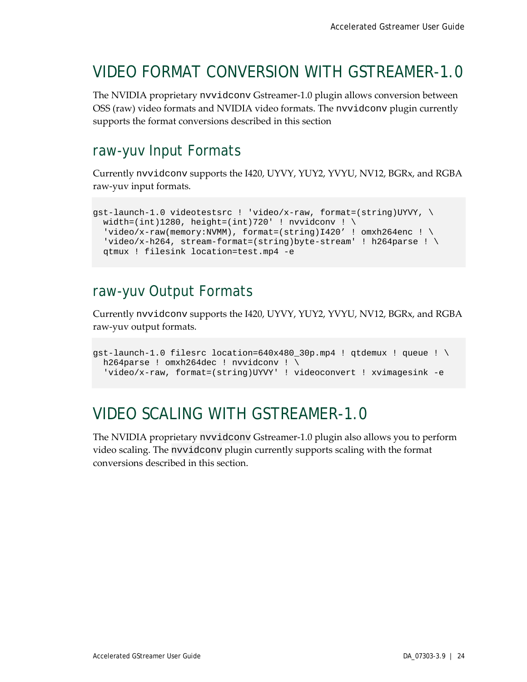## <span id="page-28-0"></span>VIDEO FORMAT CONVERSION WITH GSTREAMER-1.0

The NVIDIA proprietary nvvidconv Gstreamer-1.0 plugin allows conversion between OSS (raw) video formats and NVIDIA video formats. The nvvidconv plugin currently supports the format conversions described in this section

## <span id="page-28-1"></span>raw-yuv Input Formats

Currently nvvidconv supports the I420, UYVY, YUY2, YVYU, NV12, BGRx, and RGBA raw-yuv input formats.

```
gst-launch-1.0 videotestsrc ! 'video/x-raw, format=(string)UYVY, \
 width=(int)1280, height=(int)720' ! nvvidconv ! \setminus'video/x-raw(memory:NVMM), format=(string)I420' ! omxh264enc ! \
  'video/x-h264, stream-format=(string)byte-stream' ! h264parse ! \setminus qtmux ! filesink location=test.mp4 -e
```
## <span id="page-28-2"></span>raw-yuv Output Formats

Currently nvvidconv supports the I420, UYVY, YUY2, YVYU, NV12, BGRx, and RGBA raw-yuv output formats.

```
gst-launch-1.0 filesrc location=640x480_30p.mp4 ! qtdemux ! queue ! \setminush264parse ! omxh264dec ! nvvidconv ! \
   'video/x-raw, format=(string)UYVY' ! videoconvert ! xvimagesink -e
```
## <span id="page-28-3"></span>VIDEO SCALING WITH GSTREAMER-1.0

The NVIDIA proprietary nvvidconv Gstreamer-1.0 plugin also allows you to perform video scaling. The nvvidconv plugin currently supports scaling with the format conversions described in this section.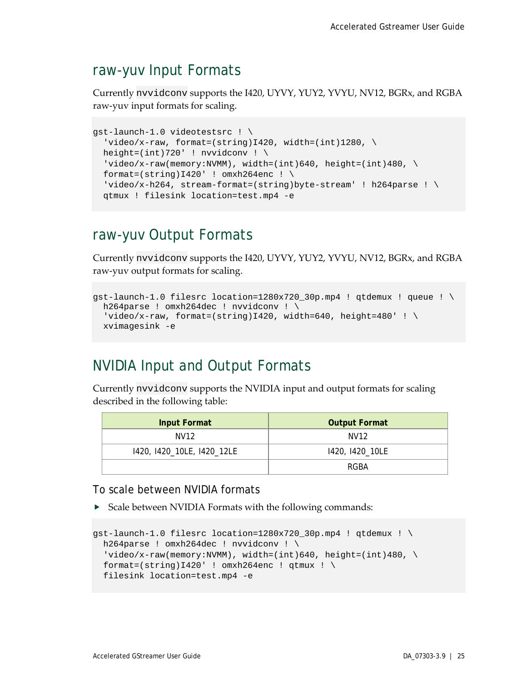## <span id="page-29-0"></span>raw-yuv Input Formats

Currently nvvidconv supports the I420, UYVY, YUY2, YVYU, NV12, BGRx, and RGBA raw-yuv input formats for scaling.

```
gst-launch-1.0 videotestsrc ! \
  'video/x-raw, format=(string)I420, width=(int)1280, \setminusheight=(int)720' ! nvvidconv ! \setminus'video/x-raw(memory:NVMM), width=(int)640, height=(int)480, \setminusformat=(string)I420' ! omxh264enc ! \setminus 'video/x-h264, stream-format=(string)byte-stream' ! h264parse ! \
   qtmux ! filesink location=test.mp4 -e
```
## <span id="page-29-1"></span>raw-yuv Output Formats

Currently nvvidconv supports the I420, UYVY, YUY2, YVYU, NV12, BGRx, and RGBA raw-yuv output formats for scaling.

```
gst-launch-1.0 filesrc location=1280x720_30p.mp4 ! qtdemux ! queue ! \setminush264parse ! omxh264dec ! nvvidconv ! \
  'video/x-raw, format=(string)I420, width=640, height=480' ! \setminus xvimagesink -e
```
## <span id="page-29-2"></span>NVIDIA Input and Output Formats

Currently nvvidconv supports the NVIDIA input and output formats for scaling described in the following table:

| Input Format               | <b>Output Format</b> |
|----------------------------|----------------------|
| NV12                       | NV12                 |
| 1420, 1420_10LE, 1420_12LE | 1420, 1420_10LE      |
|                            | RGBA                 |

To scale between NVIDIA formats

Scale between NVIDIA Formats with the following commands:

```
gst-launch-1.0 filesrc location=1280x720_30p.mp4 ! qtdemux ! \
 h264parse ! omxh264dec ! nvvidconv ! \
  video/x-raw(memory:NVMM), width=(int)640, height=(int)480, \
 format=(string)I420' ! omxh264enc ! qtmux ! \setminusfilesink location=test.mp4 -e
```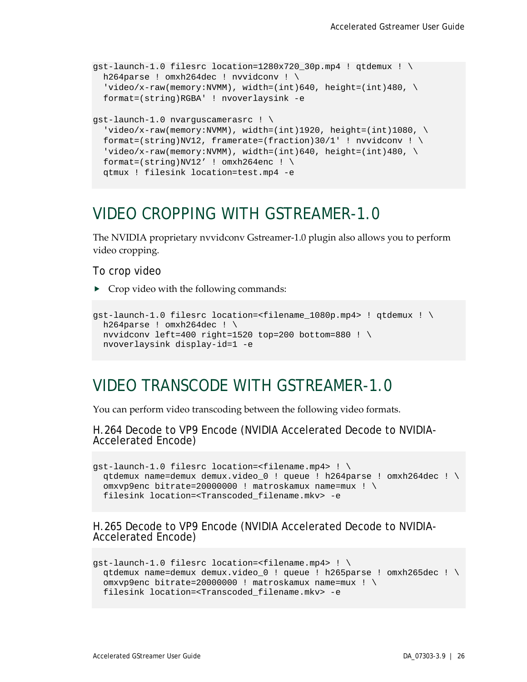```
gst-launch-1.0 filesrc location=1280x720_30p.mp4 ! qtdemux ! \setminush264parse ! omxh264dec ! nvvidconv ! \
  video/x-raw(memory:NWMM), width=(int)640, height=(int)480, \
  format=(string)RGBA' ! nvoverlaysink -e
gst-launch-1.0 nvarguscamerasrc ! \
  video/x-raw(memory:NVMM), width=(int)1920, height=(int)1080, \
 format=(string)NV12, framerate=(fraction)30/1' ! nvvidconv ! \setminusvideo/x-raw(memory:NVMM), width=(int)640, height=(int)480, \
 format=(string)NV12' ! omxh264enc ! \
  qtmux ! filesink location=test.mp4 -e
```
## <span id="page-30-0"></span>VIDEO CROPPING WITH GSTREAMER-1.0

The NVIDIA proprietary nvvidconv Gstreamer-1.0 plugin also allows you to perform video cropping.

#### To crop video

 $\triangleright$  Crop video with the following commands:

```
qst-launch-1.0 filesrc location=<filename 1080p.mp4> ! qtdemux ! \setminush264parse ! omxh264dec ! \setminusnvvidconv left=400 right=1520 top=200 bottom=880 ! \
  nvoverlaysink display-id=1 -e
```
## <span id="page-30-1"></span>VIDEO TRANSCODE WITH GSTREAMER-1.0

You can perform video transcoding between the following video formats.

H.264 Decode to VP9 Encode (NVIDIA Accelerated Decode to NVIDIA- Accelerated Encode)

```
gst-launch-1.0 filesrc location=<filename.mp4> ! \
 qtdemux name=demux demux.video_0 ! queue ! h264parse ! omxh264dec ! \
  omxvp9enc bitrate=20000000 ! matroskamux name=mux ! \
  filesink location=<Transcoded_filename.mkv> -e
```
H.265 Decode to VP9 Encode (NVIDIA Accelerated Decode to NVIDIA- Accelerated Encode)

```
gst-launch-1.0 filesrc location=<filename.mp4> ! \
 qtdemux name=demux demux.video_0 ! queue ! h265parse ! omxh265dec ! \
 omxvp9enc bitrate=20000000 ! matroskamux name=mux ! \
 filesink location=<Transcoded_filename.mkv> -e
```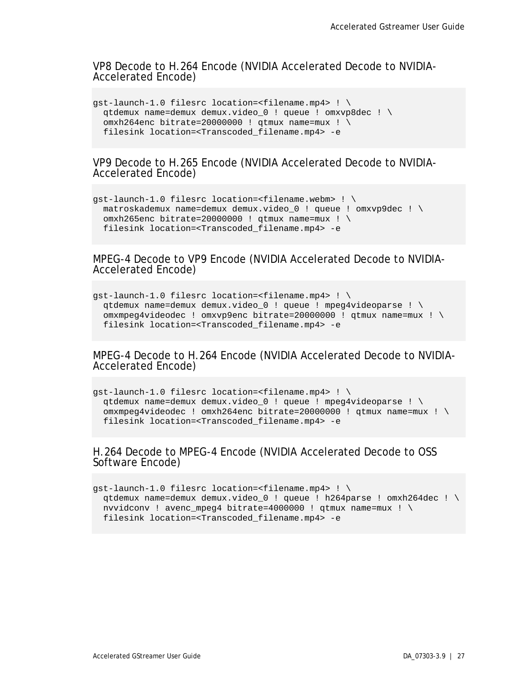VP8 Decode to H.264 Encode (NVIDIA Accelerated Decode to NVIDIA- Accelerated Encode)

```
gst-launch-1.0 filesrc location=<filename.mp4> ! \
 qtdemux name=demux demux.video_0 ! queue ! omxvp8dec ! \
  omxh264enc bitrate=20000000 ! qtmux name=mux ! \
  filesink location=<Transcoded_filename.mp4> -e
```
VP9 Decode to H.265 Encode (NVIDIA Accelerated Decode to NVIDIA- Accelerated Encode)

```
gst-launch-1.0 filesrc location=<filename.webm> ! \
 matroskademux name=demux demux.video_0 ! queue ! omxvp9dec ! \
 omxh265enc bitrate=20000000 ! qtmux name=mux ! \
 filesink location=<Transcoded_filename.mp4> -e
```
MPEG-4 Decode to VP9 Encode (NVIDIA Accelerated Decode to NVIDIA- Accelerated Encode)

```
gst-launch-1.0 filesrc location=<filename.mp4> ! \
  qtdemux name=demux demux.video_0 ! queue ! mpeg4videoparse ! \
  omxmpeg4videodec ! omxvp9enc bitrate=20000000 ! qtmux name=mux ! \
  filesink location=<Transcoded_filename.mp4> -e
```
MPEG-4 Decode to H.264 Encode (NVIDIA Accelerated Decode to NVIDIA- Accelerated Encode)

```
gst-launch-1.0 filesrc location=<filename.mp4> ! \
 qtdemux name=demux demux.video_0 ! queue ! mpeg4videoparse ! \
 omxmpeg4videodec ! omxh264enc bitrate=20000000 ! qtmux name=mux ! \
 filesink location=<Transcoded_filename.mp4> -e
```
### H.264 Decode to MPEG-4 Encode (NVIDIA Accelerated Decode to OSS Software Encode)

```
gst-launch-1.0 filesrc location=<filename.mp4> ! \
  qtdemux name=demux demux.video_0 ! queue ! h264parse ! omxh264dec ! \
 nvvidconv ! avenc mpeg4 bitrate=4000000 ! gtmux name=mux ! \setminusfilesink location=<Transcoded_filename.mp4> -e
```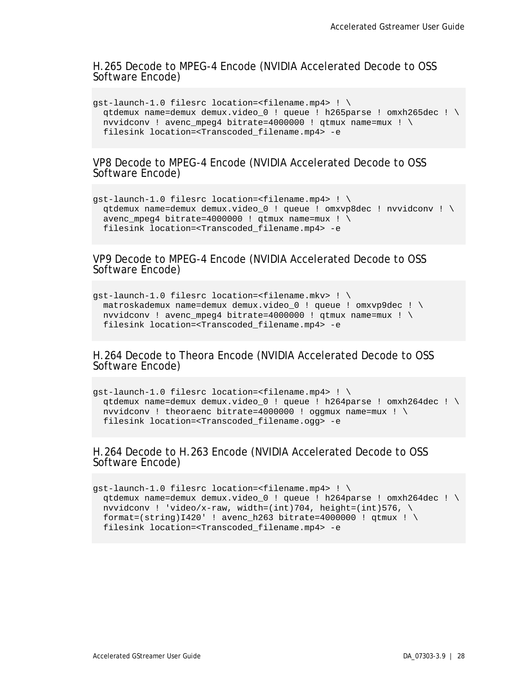#### H.265 Decode to MPEG-4 Encode (NVIDIA Accelerated Decode to OSS Software Encode)

```
gst-launch-1.0 filesrc location=<filename.mp4> ! \
 qtdemux name=demux demux.video_0 ! queue ! h265parse ! omxh265dec ! \
 nvvidconv ! avenc mpeg4 bitrate=4000000 ! gtmux name=mux ! \setminusfilesink location=<Transcoded_filename.mp4> -e
```
VP8 Decode to MPEG-4 Encode (NVIDIA Accelerated Decode to OSS Software Encode)

```
gst-launch-1.0 filesrc location=<filename.mp4> ! \
 qtdemux name=demux demux.video_0 ! queue ! omxvp8dec ! nvvidconv ! \
 avenc mpeg4 bitrate=4000000 ! gtmux name=mux ! \setminusfilesink location=<Transcoded_filename.mp4> -e
```
VP9 Decode to MPEG-4 Encode (NVIDIA Accelerated Decode to OSS Software Encode)

```
gst-launch-1.0 filesrc location=<filename.mkv> ! \
 matroskademux name=demux demux.video_0 ! queue ! omxvp9dec ! \
 nvvidconv ! avenc_mpeg4 bitrate=4000000 ! qtmux name=mux ! \
 filesink location=<Transcoded_filename.mp4> -e
```
H.264 Decode to Theora Encode (NVIDIA Accelerated Decode to OSS Software Encode)

```
gst-launch-1.0 filesrc location=<filename.mp4> ! \
 qtdemux name=demux demux.video_0 ! queue ! h264parse ! omxh264dec ! \
 nvvidconv ! theoraenc bitrate=4000000 ! oggmux name=mux ! \
 filesink location=<Transcoded_filename.ogg> -e
```
### H.264 Decode to H.263 Encode (NVIDIA Accelerated Decode to OSS Software Encode)

```
gst-launch-1.0 filesrc location=<filename.mp4> ! \
 qtdemux name=demux demux.video_0 ! queue ! h264parse ! omxh264dec ! \
 nvvidconv ! 'video/x-raw, width=(int)704, height=(int)576, \setminusformat = (string)I420' ! avenc_h263 bitrate=4000000 ! qtmux ! \
  filesink location=<Transcoded_filename.mp4> -e
```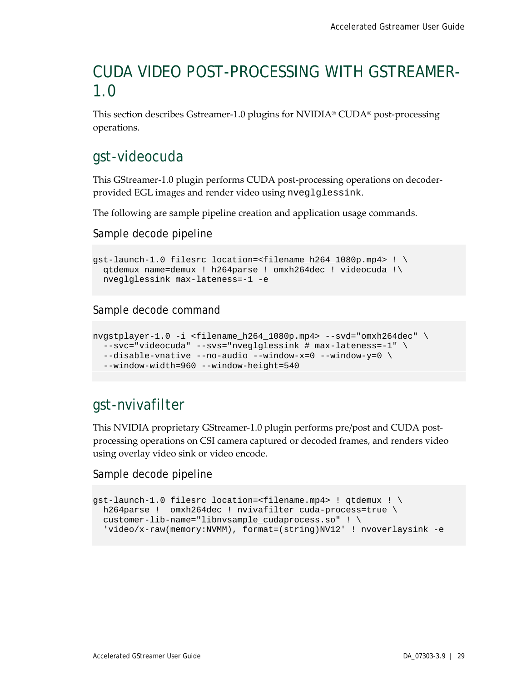## <span id="page-33-0"></span>CUDA VIDEO POST-PROCESSING WITH GSTREAMER-1.0

This section describes Gstreamer-1.0 plugins for NVIDIA® CUDA® post-processing operations.

## <span id="page-33-1"></span>gst-videocuda

This GStreamer-1.0 plugin performs CUDA post-processing operations on decoderprovided EGL images and render video using nveglglessink.

The following are sample pipeline creation and application usage commands.

Sample decode pipeline

```
gst-launch-1.0 filesrc location=<filename_h264_1080p.mp4> ! \
 qtdemux name=demux ! h264parse ! omxh264dec ! videocuda !\
 nveglglessink max-lateness=-1 -e
```
Sample decode command

```
nvgstplayer-1.0 -i <filename_h264_1080p.mp4> --svd="omxh264dec" \
 --svc="videocuda" --svs="nveglglessink # max-lateness=-1" \
 --disable-vnative --no-audio --window-x=0 --window-y=0 \
 --window-width=960 --window-height=540
```
## <span id="page-33-2"></span>gst-nvivafilter

This NVIDIA proprietary GStreamer-1.0 plugin performs pre/post and CUDA postprocessing operations on CSI camera captured or decoded frames, and renders video using overlay video sink or video encode.

### Sample decode pipeline

```
gst-launch-1.0 filesrc location=<filename.mp4> ! qtdemux ! \
 h264parse ! omxh264dec ! nvivafilter cuda-process=true \
 customer-lib-name="libnvsample_cudaprocess.so" ! \
   'video/x-raw(memory:NVMM), format=(string)NV12' ! nvoverlaysink -e
```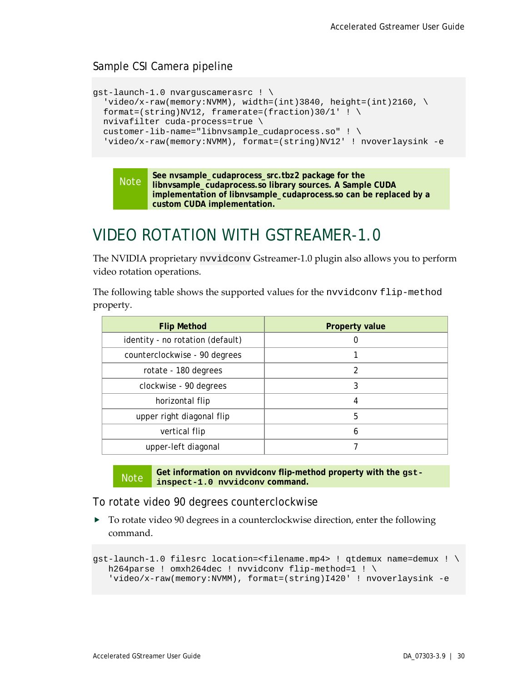## Sample CSI Camera pipeline

```
gst-launch-1.0 nvarguscamerasrc ! \
  'video/x-raw(memory:NVMM), width=(int)3840, height=(int)2160, \setminusformat=(string)NV12, framerate=(fraction)30/1' ! \
  nvivafilter cuda-process=true \
  customer-lib-name="libnvsample_cudaprocess.so" ! \
  'video/x-raw(memory:NVMM), format=(string)NV12' ! nvoverlaysink -e
```
#### Note **See nvsample\_cudaprocess\_src.tbz2 package for the libnvsample\_cudaprocess.so library sources. A Sample CUDA implementation of libnvsample\_cudaprocess.so can be replaced by a custom CUDA implementation.**

## <span id="page-34-0"></span>VIDEO ROTATION WITH GSTREAMER-1.0

The NVIDIA proprietary nvvidconv Gstreamer-1.0 plugin also allows you to perform video rotation operations.

The following table shows the supported values for the nvvidconv flip-method property.

| <b>Flip Method</b>               | <b>Property value</b> |
|----------------------------------|-----------------------|
| identity - no rotation (default) | O                     |
| counterclockwise - 90 degrees    |                       |
| rotate - 180 degrees             | 2                     |
| clockwise - 90 degrees           | 3                     |
| horizontal flip                  | 4                     |
| upper right diagonal flip        | 5                     |
| vertical flip                    | 6                     |
| upper-left diagonal              |                       |

Note Get information on nyvidcony flip-method property with the gst**inspect-1.0 nvvidconv command.**

To rotate video 90 degrees counterclockwise

▶ To rotate video 90 degrees in a counterclockwise direction, enter the following command.

```
gst-launch-1.0 filesrc location=<filename.mp4> ! qtdemux name=demux ! \
  h264parse ! omxh264dec ! nvvidconv flip-method=1 ! \
    'video/x-raw(memory:NVMM), format=(string)I420' ! nvoverlaysink -e
```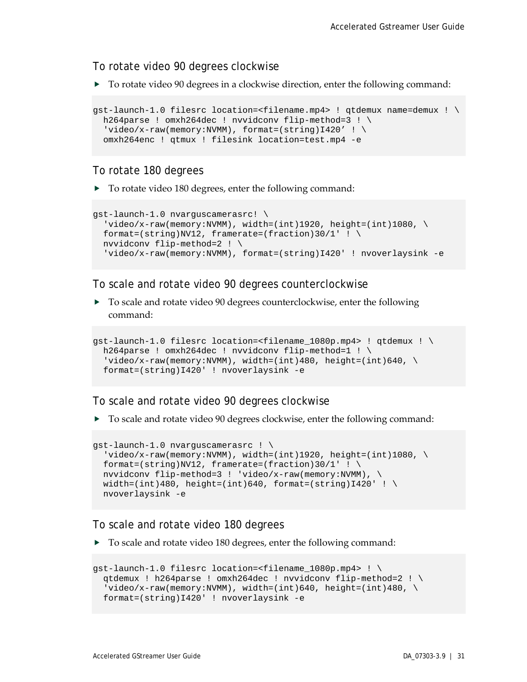To rotate video 90 degrees clockwise

▶ To rotate video 90 degrees in a clockwise direction, enter the following command:

```
gst-launch-1.0 filesrc location=<filename.mp4> ! qtdemux name=demux ! \
 h264parse ! omxh264dec ! nvvidconv flip-method=3 ! \
 'video/x-raw(memory:NVMM), format=(string)I420' ! \
  omxh264enc ! qtmux ! filesink location=test.mp4 -e
```
### To rotate 180 degrees

▶ To rotate video 180 degrees, enter the following command:

```
gst-launch-1.0 nvarguscamerasrc! \
 'video/x-raw(memory:NVMM), width=(int)1920, height=(int)1080, \
 format=(string)NV12, framerate=(fraction)30/1' ! \
 nvvidconv flip-method=2 ! \
  'video/x-raw(memory:NVMM), format=(string)I420' ! nvoverlaysink -e
```
To scale and rotate video 90 degrees counterclockwise

 To scale and rotate video 90 degrees counterclockwise, enter the following command:

```
qst-lawch-1.0 filesrc location=<filename 1080p.mp4> ! qtdemux ! \setminush264parse ! omxh264dec ! nvvidconv flip-method=1 ! \
  'video/x-raw(memory:NVMM), width=(int)480, height=(int)640, \setminus format=(string)I420' ! nvoverlaysink -e
```
#### To scale and rotate video 90 degrees clockwise

To scale and rotate video 90 degrees clockwise, enter the following command:

```
gst-launch-1.0 nvarguscamerasrc ! \
  video/x-raw(memory:NUMM), width=(int)1920, height=(int)1080, \
 format=(string)NV12, framerate=(fraction)30/1' ! \setminusnvvidconv flip-method=3 ! 'video/x-raw(memory:NVMM), \
 width=(int)480, height=(int)640, format=(string)I420' ! \setminusnvoverlaysink -e
```
#### To scale and rotate video 180 degrees

 $\triangleright$  To scale and rotate video 180 degrees, enter the following command:

```
gst-launch-1.0 filesrc location=<filename_1080p.mp4> ! \
 qtdemux ! h264parse ! omxh264dec ! nvvidconv flip-method=2 ! \
  video/x-raw(memory:NUMM), width=(int)640, height=(int)480, \
  format=(string)I420' ! nvoverlaysink -e
```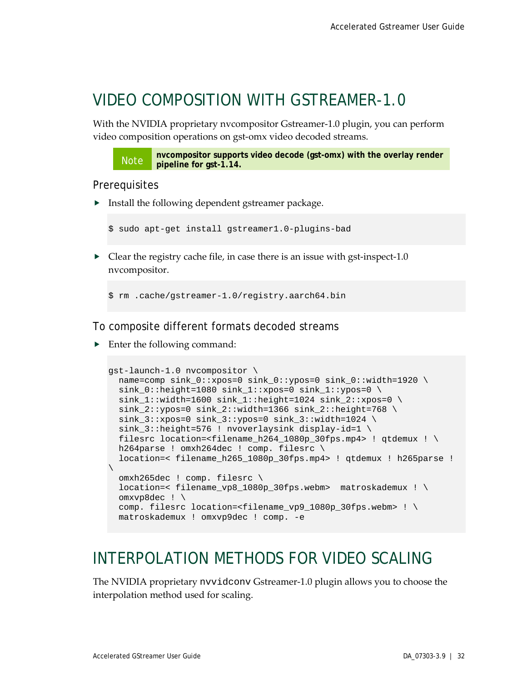## <span id="page-36-0"></span>VIDEO COMPOSITION WITH GSTREAMER-1.0

With the NVIDIA proprietary nvcompositor Gstreamer-1.0 plugin, you can perform video composition operations on gst-omx video decoded streams.

Note **nvcompositor supports video decode (gst-omx) with the overlay render pipeline for gst-1.14.**

#### **Prerequisites**

**Install the following dependent gstreamer package.** 

\$ sudo apt-get install gstreamer1.0-plugins-bad

 $\triangleright$  Clear the registry cache file, in case there is an issue with gst-inspect-1.0 nvcompositor.

\$ rm .cache/gstreamer-1.0/registry.aarch64.bin

To composite different formats decoded streams

▶ Enter the following command:

```
gst-launch-1.0 nvcompositor \
  name=comp sink_0::xpos=0 sink_0::ypos=0 sink_0::width=1920 \
  sink 0::height=1080 sink 1::xpos=0 sink 1::ypos=0 \
  sink 1:width=1600 sink 1:height=1024 sink 2:ixpos=0 \setminussink_2::ypos=0 sink_2::width=1366 sink_2::height=768 \
  sink_3::xpos=0 sink_3::ypos=0 sink_3::width=1024 \
  sink_3::height=576 ! nvoverlaysink display-id=1 \
   filesrc location=<filename_h264_1080p_30fps.mp4> ! qtdemux ! \
 h264parse ! omxh264dec ! comp. filesrc \
  location=< filename_h265_1080p_30fps.mp4> ! qtdemux ! h265parse ! 
\overline{\phantom{0}} omxh265dec ! comp. filesrc \
   location=< filename_vp8_1080p_30fps.webm> matroskademux ! \
   omxvp8dec ! \
   comp. filesrc location=<filename_vp9_1080p_30fps.webm> ! \
   matroskademux ! omxvp9dec ! comp. -e
```
## <span id="page-36-1"></span>INTERPOLATION METHODS FOR VIDEO SCALING

The NVIDIA proprietary nvvidconv Gstreamer-1.0 plugin allows you to choose the interpolation method used for scaling.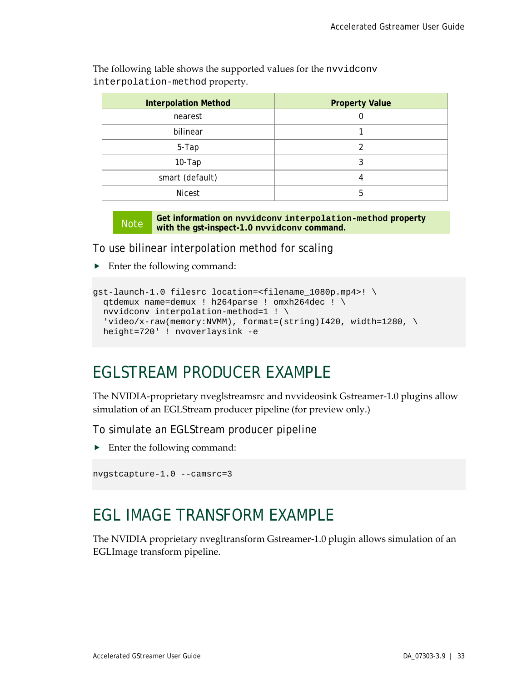| <b>Interpolation Method</b> | <b>Property Value</b> |
|-----------------------------|-----------------------|
|                             |                       |
| nearest                     |                       |
| bilinear                    |                       |
| 5-Tap                       | 2                     |
| $10-Tap$                    | 3                     |
| smart (default)             | 4                     |
| <b>Nicest</b>               | 5                     |

The following table shows the supported values for the nvvidconv interpolation-method property.

Note **Get information on nvvidconv interpolation-method property with the gst-inspect-1.0 nvvidconv command.**

To use bilinear interpolation method for scaling

▶ Enter the following command:

```
gst-launch-1.0 filesrc location=<filename_1080p.mp4>! \
 qtdemux name=demux ! h264parse ! omxh264dec ! \
 nvvidconv interpolation-method=1 ! \
 'video/x-raw(memory:NVMM), format=(string)I420, width=1280, \
  height=720' ! nvoverlaysink -e
```
## <span id="page-37-0"></span>EGLSTREAM PRODUCER EXAMPLE

The NVIDIA-proprietary nveglstreamsrc and nvvideosink Gstreamer-1.0 plugins allow simulation of an EGLStream producer pipeline (for preview only.)

To simulate an EGLStream producer pipeline

▶ Enter the following command:

```
nvgstcapture-1.0 --camsrc=3
```
## <span id="page-37-1"></span>EGL IMAGE TRANSFORM EXAMPLE

The NVIDIA proprietary nvegltransform Gstreamer-1.0 plugin allows simulation of an EGLImage transform pipeline.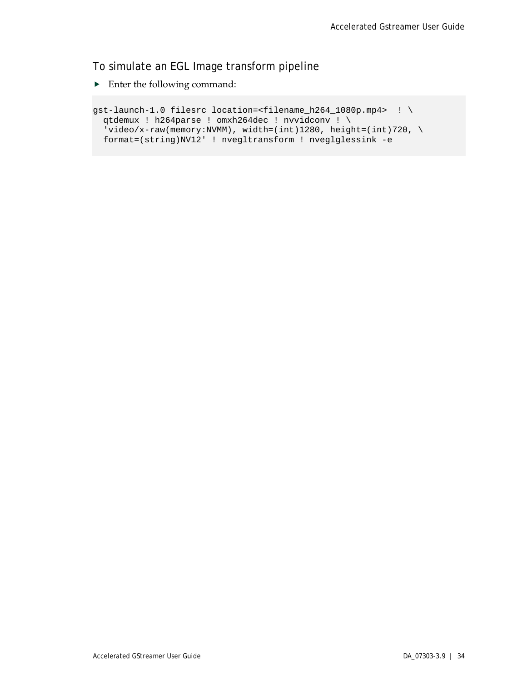## To simulate an EGL Image transform pipeline

**Enter the following command:** 

```
gst-launch-1.0 filesrc location=<filename_h264_1080p.mp4> ! \
 qtdemux ! h264parse ! omxh264dec ! nvvidconv ! \
 'video/x-raw(memory:NVMM), width=(int)1280, height=(int)720, \
  format=(string)NV12' ! nvegltransform ! nveglglessink -e
```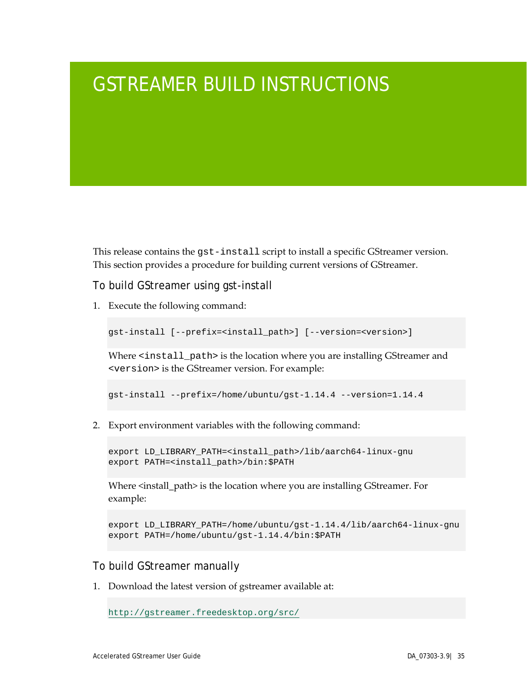# <span id="page-39-0"></span>GSTREAMER BUILD INSTRUCTIONS

This release contains the gst-install script to install a specific GStreamer version. This section provides a procedure for building current versions of GStreamer.

To build GStreamer using gst-install

1. Execute the following command:

gst-install [--prefix=<install\_path>] [--version=<version>]

Where <install\_path> is the location where you are installing GStreamer and <version> is the GStreamer version. For example:

gst-install --prefix=/home/ubuntu/gst-1.14.4 --version=1.14.4

2. Export environment variables with the following command:

export LD\_LIBRARY\_PATH=<install\_path>/lib/aarch64-linux-gnu export PATH=<install\_path>/bin:\$PATH

Where <install\_path> is the location where you are installing GStreamer. For example:

```
export LD_LIBRARY_PATH=/home/ubuntu/gst-1.14.4/lib/aarch64-linux-gnu
export PATH=/home/ubuntu/gst-1.14.4/bin:$PATH
```
### To build GStreamer manually

1. Download the latest version of gstreamer available at:

```
http://gstreamer.freedesktop.org/src/
```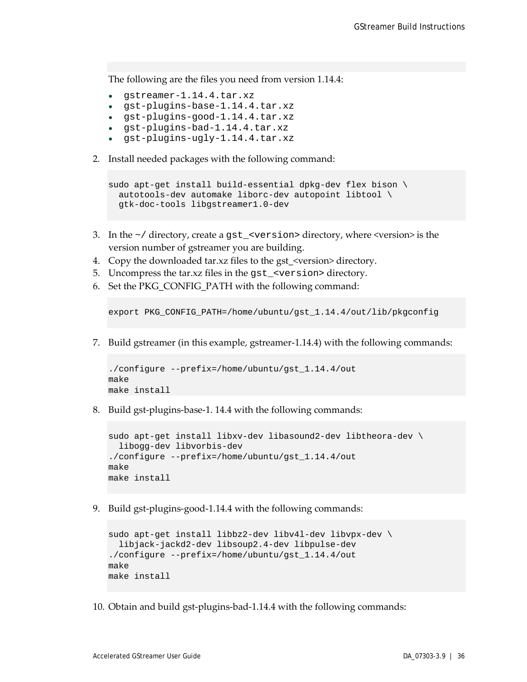The following are the files you need from version 1.14.4:

- gstreamer-1.14.4.tar.xz
- gst-plugins-base-1.14.4.tar.xz
- gst-plugins-good-1.14.4.tar.xz
- gst-plugins-bad-1.14.4.tar.xz
- gst-plugins-ugly-1.14.4.tar.xz
- 2. Install needed packages with the following command:

```
sudo apt-get install build-essential dpkg-dev flex bison \
  autotools-dev automake liborc-dev autopoint libtool \
  gtk-doc-tools libgstreamer1.0-dev
```
- 3. In the  $\sim$  / directory, create a gst\_<version> directory, where <version> is the version number of gstreamer you are building.
- 4. Copy the downloaded tar.xz files to the gst <version> directory.
- 5. Uncompress the tar.xz files in the gst\_<version> directory.
- 6. Set the PKG CONFIG PATH with the following command:

export PKG\_CONFIG\_PATH=/home/ubuntu/gst\_1.14.4/out/lib/pkgconfig

7. Build gstreamer (in this example, gstreamer-1.14.4) with the following commands:

```
./configure --prefix=/home/ubuntu/gst_1.14.4/out
make
make install
```
8. Build gst-plugins-base-1. 14.4 with the following commands:

```
sudo apt-get install libxv-dev libasound2-dev libtheora-dev \
  libogg-dev libvorbis-dev
./configure --prefix=/home/ubuntu/gst_1.14.4/out
make
make install
```
9. Build gst-plugins-good-1.14.4 with the following commands:

```
sudo apt-get install libbz2-dev libv4l-dev libvpx-dev \
  libjack-jackd2-dev libsoup2.4-dev libpulse-dev
./configure --prefix=/home/ubuntu/gst_1.14.4/out
make
make install
```
10. Obtain and build gst-plugins-bad-1.14.4 with the following commands: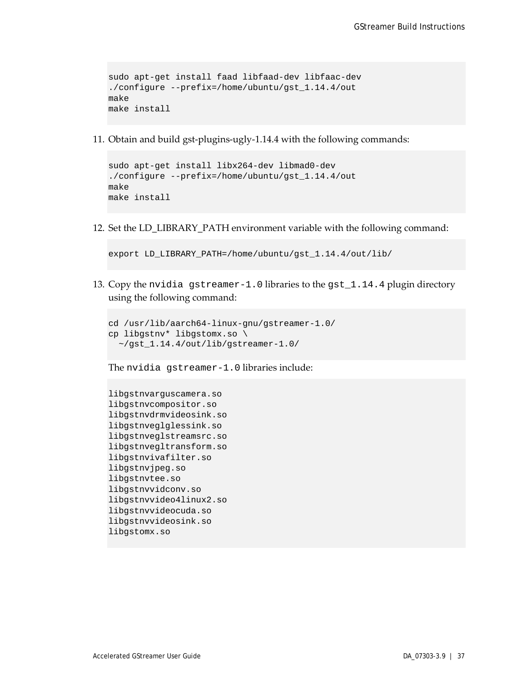```
sudo apt-get install faad libfaad-dev libfaac-dev
./configure --prefix=/home/ubuntu/gst_1.14.4/out
make
make install
```
11. Obtain and build gst-plugins-ugly-1.14.4 with the following commands:

```
sudo apt-get install libx264-dev libmad0-dev
./configure --prefix=/home/ubuntu/gst_1.14.4/out
make
make install
```
12. Set the LD\_LIBRARY\_PATH environment variable with the following command:

```
export LD_LIBRARY_PATH=/home/ubuntu/gst_1.14.4/out/lib/
```
13. Copy the nvidia gstreamer-1.0 libraries to the gst\_1.14.4 plugin directory using the following command:

```
cd /usr/lib/aarch64-linux-gnu/gstreamer-1.0/
cp libgstnv* libgstomx.so \
   ~/gst_1.14.4/out/lib/gstreamer-1.0/
```
The nvidia gstreamer-1.0 libraries include:

```
libgstnvarguscamera.so
libgstnvcompositor.so
libgstnvdrmvideosink.so
libgstnveglglessink.so
libgstnveglstreamsrc.so
libgstnvegltransform.so
libgstnvivafilter.so
libgstnvjpeg.so
libgstnvtee.so
libgstnvvidconv.so
libgstnvvideo4linux2.so
libgstnvvideocuda.so
libgstnvvideosink.so
libgstomx.so
```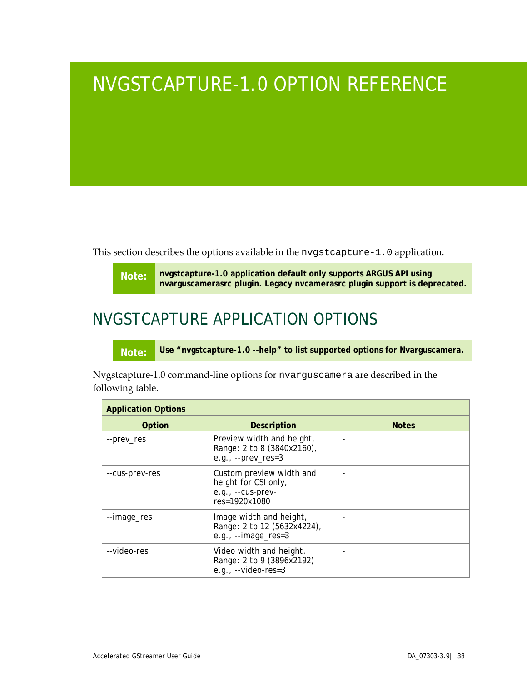# <span id="page-42-0"></span>NVGSTCAPTURE-1.0 OPTION REFERENCE

This section describes the options available in the nvgstcapture-1.0 application.

**Note: nvgstcapture-1.0 application default only supports ARGUS API using nvarguscamerasrc plugin. Legacy nvcamerasrc plugin support is deprecated.**

## <span id="page-42-1"></span>NVGSTCAPTURE APPLICATION OPTIONS

**Note: Use "nvgstcapture-1.0 --help" to list supported options for Nvarguscamera.**

Nvgstcapture-1.0 command-line options for nvarguscamera are described in the following table.

| <b>Application Options</b> |                                                                                        |              |  |
|----------------------------|----------------------------------------------------------------------------------------|--------------|--|
| Option                     | Description                                                                            | <b>Notes</b> |  |
| --prev_res                 | Preview width and height,<br>Range: 2 to 8 (3840x2160),<br>e.g., $-$ -prev_res=3       |              |  |
| --cus-prev-res             | Custom preview width and<br>height for CSI only,<br>e.g., --cus-prev-<br>res=1920x1080 |              |  |
| --image_res                | Image width and height,<br>Range: 2 to 12 (5632x4224),<br>e.g., $--image\_res=3$       |              |  |
| --video-res                | Video width and height.<br>Range: 2 to 9 (3896x2192)<br>e.g., $-$ video-res=3          |              |  |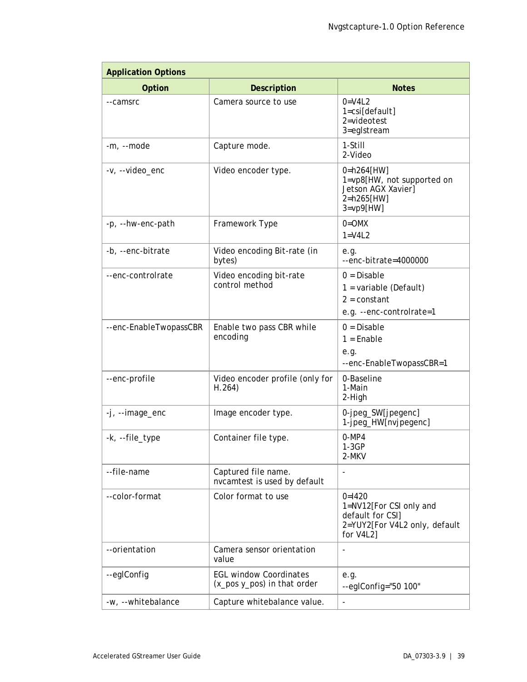| <b>Application Options</b> |                                                              |                                                                                                       |  |
|----------------------------|--------------------------------------------------------------|-------------------------------------------------------------------------------------------------------|--|
| Option                     | <b>Description</b>                                           | <b>Notes</b>                                                                                          |  |
| --camsrc                   | Camera source to use                                         | $0=V4L2$<br>$1 = csi[default]$<br>2=videotest<br>3=eglstream                                          |  |
| -m, --mode                 | Capture mode.                                                | 1-Still<br>2-Video                                                                                    |  |
| -v, --video_enc            | Video encoder type.                                          | 0=h264[HW]<br>1=vp8[HW, not supported on<br>Jetson AGX Xavier]<br>2=h265[HW]<br>$3 = vp9$ [HW]        |  |
| -p, --hw-enc-path          | Framework Type                                               | $0 = OMX$<br>$1=V4L2$                                                                                 |  |
| -b, --enc-bitrate          | Video encoding Bit-rate (in<br>bytes)                        | e.g.<br>--enc-bitrate=4000000                                                                         |  |
| --enc-controlrate          | Video encoding bit-rate<br>control method                    | $0 = Disable$<br>$1 =$ variable (Default)<br>$2 = constant$<br>e.g. --enc-controlrate=1               |  |
| --enc-EnableTwopassCBR     | Enable two pass CBR while<br>encoding                        | $0 = Disable$<br>$1 =$ Enable<br>e.g.<br>--enc-EnableTwopassCBR=1                                     |  |
| --enc-profile              | Video encoder profile (only for<br>H.264)                    | 0-Baseline<br>1-Main<br>2-High                                                                        |  |
| -j, --image_enc            | Image encoder type.                                          | 0-jpeg_SW[jpegenc]<br>1-jpeg_HW[nvjpegenc]                                                            |  |
| -k, --file_type            | Container file type.                                         | $0-MP4$<br>$1-3GP$<br>2-MKV                                                                           |  |
| --file-name                | Captured file name.<br>nvcamtest is used by default          | $\qquad \qquad \blacksquare$                                                                          |  |
| --color-format             | Color format to use                                          | $0=1420$<br>1=NV12[For CSI only and<br>default for CSI]<br>2=YUY2[For V4L2 only, default<br>for V4L2] |  |
| --orientation              | Camera sensor orientation<br>value                           | $\overline{\phantom{a}}$                                                                              |  |
| --eglConfig                | <b>EGL window Coordinates</b><br>(x_pos y_pos) in that order | e.g.<br>--eglConfig="50 100"                                                                          |  |
| -w, --whitebalance         | Capture whitebalance value.                                  | $\overline{\phantom{0}}$                                                                              |  |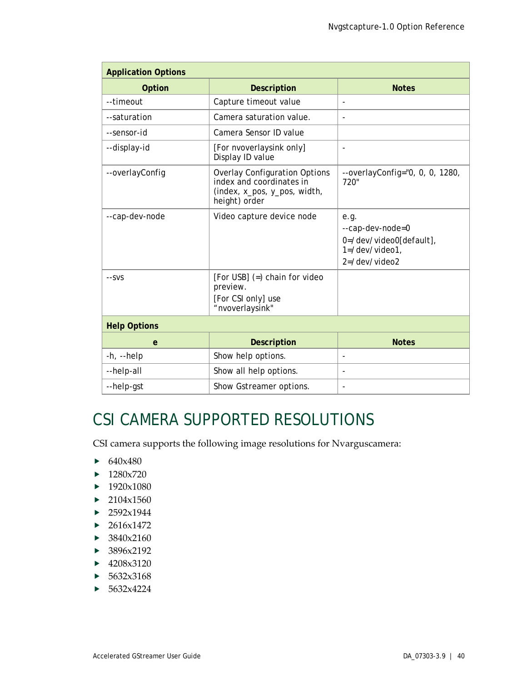| <b>Application Options</b> |                                                                                                                   |                                                                                                  |  |
|----------------------------|-------------------------------------------------------------------------------------------------------------------|--------------------------------------------------------------------------------------------------|--|
| Option                     | <b>Description</b>                                                                                                | <b>Notes</b>                                                                                     |  |
| --timeout                  | Capture timeout value                                                                                             |                                                                                                  |  |
| --saturation               | Camera saturation value.                                                                                          | $\blacksquare$                                                                                   |  |
| --sensor-id                | Camera Sensor ID value                                                                                            |                                                                                                  |  |
| --display-id               | [For nvoverlaysink only]<br>Display ID value                                                                      | $\overline{\phantom{a}}$                                                                         |  |
| --overlayConfig            | <b>Overlay Configuration Options</b><br>index and coordinates in<br>(index, x_pos, y_pos, width,<br>height) order | $-$ overlayConfig="0, 0, 0, 1280,<br>720"                                                        |  |
| --cap-dev-node             | Video capture device node                                                                                         | e.g.<br>--cap-dev-node=0<br>0=/dev/video0[default],<br>$1 = /dev/video1$ .<br>$2 = /$ dev/video2 |  |
| --SVS                      | [For USB] $(=)$ chain for video<br>preview.<br>[For CSI only] use<br>"nvoverlaysink"                              |                                                                                                  |  |
| <b>Help Options</b>        |                                                                                                                   |                                                                                                  |  |
| $\mathbf{e}$               | Description                                                                                                       | <b>Notes</b>                                                                                     |  |
| $-h$ , $-help$             | Show help options.                                                                                                | $\overline{\phantom{0}}$                                                                         |  |
| --help-all                 | Show all help options.                                                                                            | $\overline{\phantom{a}}$                                                                         |  |
| --help-gst                 | Show Gstreamer options.                                                                                           |                                                                                                  |  |

## <span id="page-44-0"></span>CSI CAMERA SUPPORTED RESOLUTIONS

CSI camera supports the following image resolutions for Nvarguscamera:

- $\blacktriangleright$  640x480
- $\blacktriangleright$  1280x720
- $\blacktriangleright$  1920x1080
- $\blacktriangleright$  2104x1560
- $\blacktriangleright$  2592x1944
- $\blacktriangleright$  2616x1472
- $\blacktriangleright$  3840x2160
- $\blacktriangleright$  3896x2192
- $\blacktriangleright$  4208x3120
- $\blacktriangleright$  5632x3168
- $\blacktriangleright$  5632x4224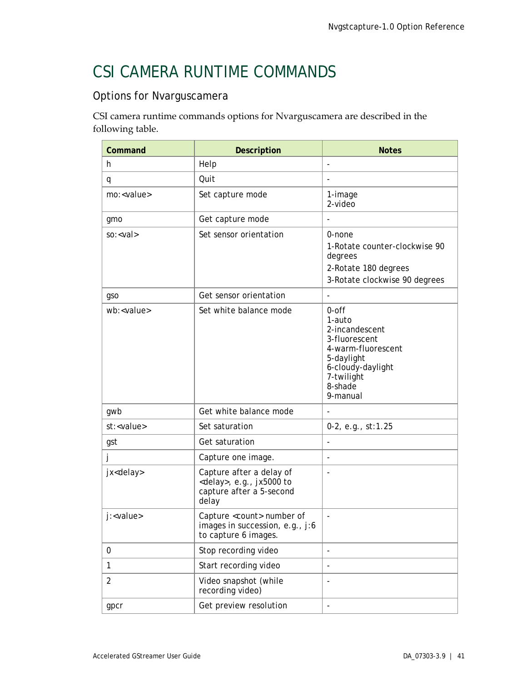## <span id="page-45-0"></span>CSI CAMERA RUNTIME COMMANDS

## Options for Nvarguscamera

CSI camera runtime commands options for Nvarguscamera are described in the following table.

| Command             | Description                                                                                         | <b>Notes</b>                                                                                                                                     |
|---------------------|-----------------------------------------------------------------------------------------------------|--------------------------------------------------------------------------------------------------------------------------------------------------|
| h                   | Help                                                                                                | $\overline{a}$                                                                                                                                   |
| q                   | Quit                                                                                                | $\overline{a}$                                                                                                                                   |
| mo: <value></value> | Set capture mode                                                                                    | 1-image<br>2-video                                                                                                                               |
| gmo                 | Get capture mode                                                                                    |                                                                                                                                                  |
| $so: <$ val         | Set sensor orientation                                                                              | 0-none<br>1-Rotate counter-clockwise 90<br>degrees<br>2-Rotate 180 degrees<br>3-Rotate clockwise 90 degrees                                      |
| gso                 | Get sensor orientation                                                                              |                                                                                                                                                  |
| wb: <value></value> | Set white balance mode                                                                              | 0-off<br>1-auto<br>2-incandescent<br>3-fluorescent<br>4-warm-fluorescent<br>5-daylight<br>6-cloudy-daylight<br>7-twilight<br>8-shade<br>9-manual |
| gwb                 | Get white balance mode                                                                              |                                                                                                                                                  |
| st: <value></value> | Set saturation                                                                                      | 0-2, e.g., st:1.25                                                                                                                               |
| gst                 | Get saturation                                                                                      | $\overline{\phantom{a}}$                                                                                                                         |
| J                   | Capture one image.                                                                                  | $\overline{a}$                                                                                                                                   |
| jx <delay></delay>  | Capture after a delay of<br><delay>, e.g., jx5000 to<br/>capture after a 5-second<br/>delay</delay> | $\overline{a}$                                                                                                                                   |
| j: <value></value>  | Capture <count> number of<br/>images in succession, e.g., j:6<br/>to capture 6 images.</count>      |                                                                                                                                                  |
| 0                   | Stop recording video                                                                                | $\overline{\phantom{a}}$                                                                                                                         |
| 1                   | Start recording video                                                                               | $\overline{\phantom{0}}$                                                                                                                         |
| $\overline{2}$      | Video snapshot (while<br>recording video)                                                           | $\overline{\phantom{a}}$                                                                                                                         |
| gpcr                | Get preview resolution                                                                              |                                                                                                                                                  |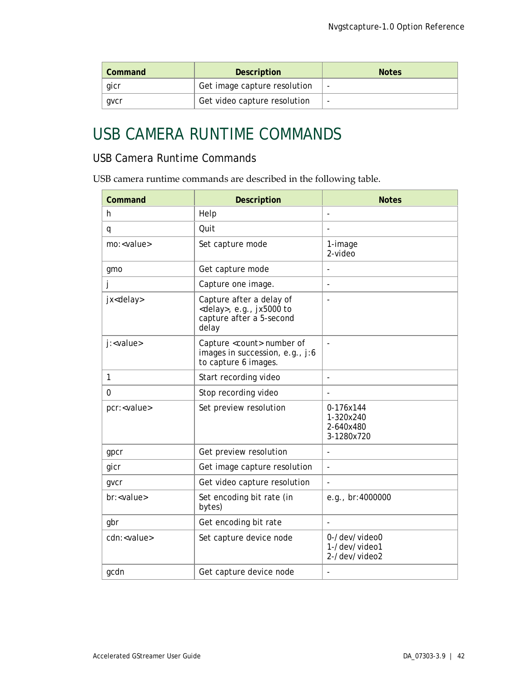| Command | <b>Description</b>           | <b>Notes</b> |
|---------|------------------------------|--------------|
| gicr    | Get image capture resolution | ٠            |
| qvcr    | Get video capture resolution | ۰            |

## <span id="page-46-0"></span>USB CAMERA RUNTIME COMMANDS

## USB Camera Runtime Commands

USB camera runtime commands are described in the following table.

| Command              | <b>Description</b>                                                                                  | <b>Notes</b>                                      |
|----------------------|-----------------------------------------------------------------------------------------------------|---------------------------------------------------|
| h.                   | Help                                                                                                | $\overline{\phantom{a}}$                          |
| q                    | Quit                                                                                                |                                                   |
| mo: <value></value>  | Set capture mode                                                                                    | 1-image<br>2-video                                |
| gmo                  | Get capture mode                                                                                    |                                                   |
| J                    | Capture one image.                                                                                  |                                                   |
| jx <delay></delay>   | Capture after a delay of<br><delay>, e.g., jx5000 to<br/>capture after a 5-second<br/>delay</delay> |                                                   |
| j: <value></value>   | Capture <count> number of<br/>images in succession, e.g., j:6<br/>to capture 6 images.</count>      | ÷,                                                |
| 1                    | Start recording video                                                                               | $\overline{\phantom{a}}$                          |
| 0                    | Stop recording video                                                                                |                                                   |
| pcr: <value></value> | Set preview resolution                                                                              | 0-176x144<br>1-320x240<br>2-640x480<br>3-1280x720 |
| gpcr                 | Get preview resolution                                                                              | L,                                                |
| gicr                 | Get image capture resolution                                                                        | L,                                                |
| gvcr                 | Get video capture resolution                                                                        | L,                                                |
| br: <value></value>  | Set encoding bit rate (in<br>bytes)                                                                 | e.g., br:4000000                                  |
| gbr                  | Get encoding bit rate                                                                               | $\overline{a}$                                    |
| cdn: <value></value> | Set capture device node                                                                             | 0-/dev/video0<br>1-/dev/video1<br>2-/dev/video2   |
| gcdn                 | Get capture device node                                                                             |                                                   |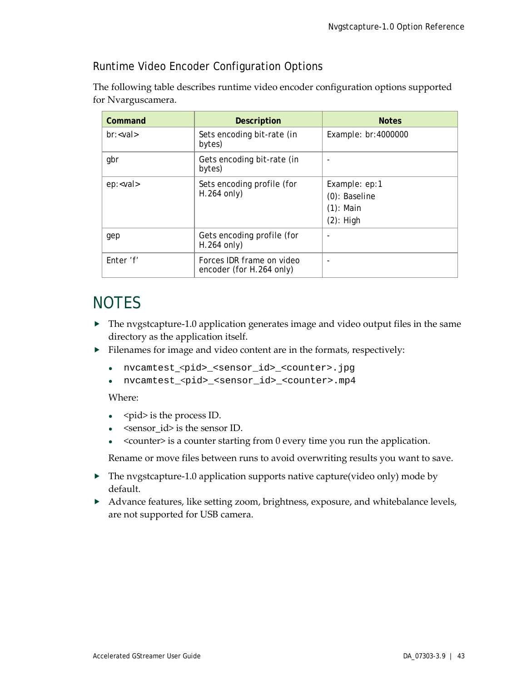## Runtime Video Encoder Configuration Options

The following table describes runtime video encoder configuration options supported for Nvarguscamera.

| Command         | <b>Description</b>                                    | <b>Notes</b>                                                   |
|-----------------|-------------------------------------------------------|----------------------------------------------------------------|
| $br: < val$     | Sets encoding bit-rate (in<br>bytes)                  | Example: br:4000000                                            |
| gbr             | Gets encoding bit-rate (in<br>bytes)                  |                                                                |
| ep: <val></val> | Sets encoding profile (for<br>$H.264$ only)           | Example: ep:1<br>(0): Baseline<br>$(1)$ : Main<br>$(2)$ : High |
| gep             | Gets encoding profile (for<br>$H.264$ only)           |                                                                |
| Enter 'f'       | Forces IDR frame on video<br>encoder (for H.264 only) |                                                                |

## <span id="page-47-0"></span>**NOTES**

- The nvgstcapture-1.0 application generates image and video output files in the same directory as the application itself.
- Filenames for image and video content are in the formats, respectively:
	- nvcamtest\_<pid>\_<sensor\_id>\_<counter>.jpg
	- nvcamtest\_<pid>\_<sensor\_id>\_<counter>.mp4

### Where:

- <pid> is the process ID.
- <sensor\_id> is the sensor ID.
- <counter> is a counter starting from  $0$  every time you run the application.

Rename or move files between runs to avoid overwriting results you want to save.

- The nvgstcapture-1.0 application supports native capture(video only) mode by default.
- Advance features, like setting zoom, brightness, exposure, and whitebalance levels, are not supported for USB camera.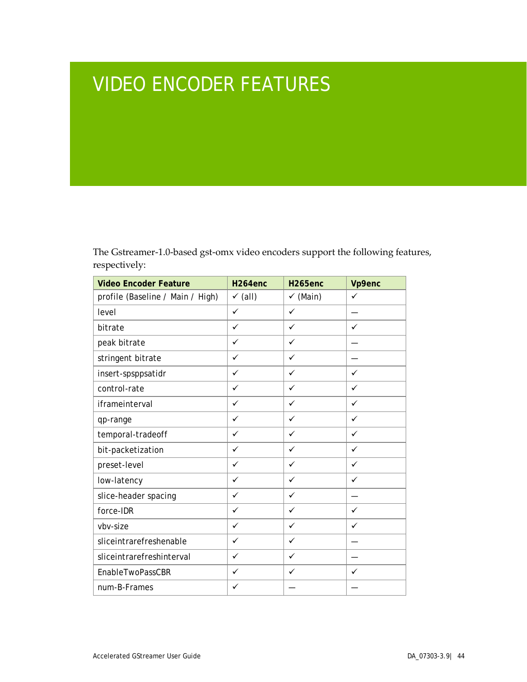# <span id="page-48-0"></span>VIDEO ENCODER FEATURES

The Gstreamer-1.0-based gst-omx video encoders support the following features, respectively:

| <b>Video Encoder Feature</b>     | H <sub>264</sub> enc | H <sub>265enc</sub> | Vp9enc       |
|----------------------------------|----------------------|---------------------|--------------|
| profile (Baseline / Main / High) | $\checkmark$ (all)   | $\checkmark$ (Main) | $\checkmark$ |
| level                            | $\checkmark$         | $\checkmark$        |              |
| bitrate                          | $\checkmark$         | $\checkmark$        | ✓            |
| peak bitrate                     | ✓                    | ✓                   |              |
| stringent bitrate                | ✓                    | $\checkmark$        |              |
| insert-spsppsatidr               | ✓                    | ✓                   | $\checkmark$ |
| control-rate                     | $\checkmark$         | $\checkmark$        | $\checkmark$ |
| iframeinterval                   | $\checkmark$         | $\checkmark$        | $\checkmark$ |
| qp-range                         | $\checkmark$         | ✓                   | ✓            |
| temporal-tradeoff                | $\checkmark$         | $\checkmark$        | ✓            |
| bit-packetization                | ✓                    | $\checkmark$        | $\checkmark$ |
| preset-level                     | $\checkmark$         | $\checkmark$        | $\checkmark$ |
| low-latency                      | ✓                    | ✓                   | $\checkmark$ |
| slice-header spacing             | ✓                    | ✓                   |              |
| force-IDR                        | ✓                    | $\checkmark$        | $\checkmark$ |
| vbv-size                         | $\checkmark$         | $\checkmark$        | $\checkmark$ |
| sliceintrarefreshenable          | $\checkmark$         | $\checkmark$        |              |
| sliceintrarefreshinterval        | ✓                    | $\checkmark$        |              |
| EnableTwoPassCBR                 | ✓                    | ✓                   | ✓            |
| num-B-Frames                     | ✓                    |                     |              |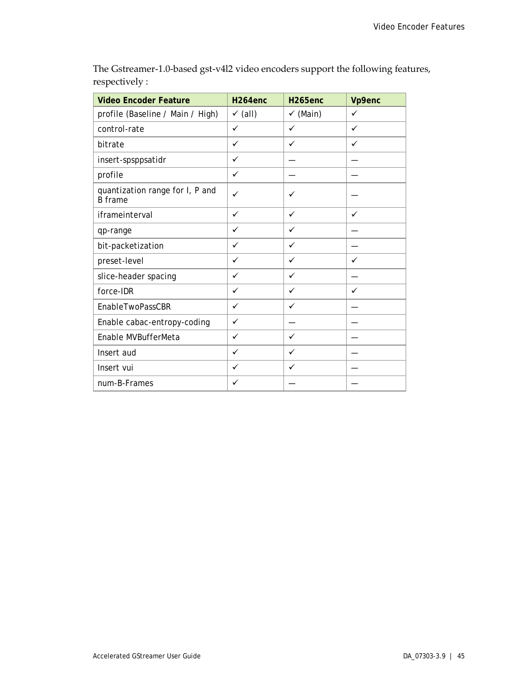| <b>Video Encoder Feature</b>                      | H <sub>264enc</sub> | H <sub>265enc</sub> | Vp9enc       |
|---------------------------------------------------|---------------------|---------------------|--------------|
| profile (Baseline / Main / High)                  | $\checkmark$ (all)  | $\checkmark$ (Main) | $\checkmark$ |
| control-rate                                      | $\checkmark$        | $\checkmark$        | $\checkmark$ |
| bitrate                                           | ✓                   | ✓                   | $\checkmark$ |
| insert-spsppsatidr                                | $\checkmark$        |                     |              |
| profile                                           | $\checkmark$        |                     |              |
| quantization range for I, P and<br><b>B</b> frame | ✓                   | ✓                   |              |
| iframeinterval                                    | $\checkmark$        | ✓                   | $\checkmark$ |
| qp-range                                          | $\checkmark$        | ✓                   |              |
| bit-packetization                                 | $\checkmark$        | $\checkmark$        |              |
| preset-level                                      | $\checkmark$        | $\checkmark$        | $\checkmark$ |
| slice-header spacing                              | ✓                   | ✓                   |              |
| force-IDR                                         | ✓                   | ✓                   | ✓            |
| EnableTwoPassCBR                                  | ✓                   | ✓                   |              |
| Enable cabac-entropy-coding                       | $\checkmark$        |                     |              |
| Enable MVBufferMeta                               | ✓                   | ✓                   |              |
| Insert aud                                        | ✓                   | ✓                   |              |
| Insert vui                                        | ✓                   | ✓                   |              |
| num-B-Frames                                      | ✓                   |                     |              |

The Gstreamer-1.0-based gst-v4l2 video encoders support the following features, respectively :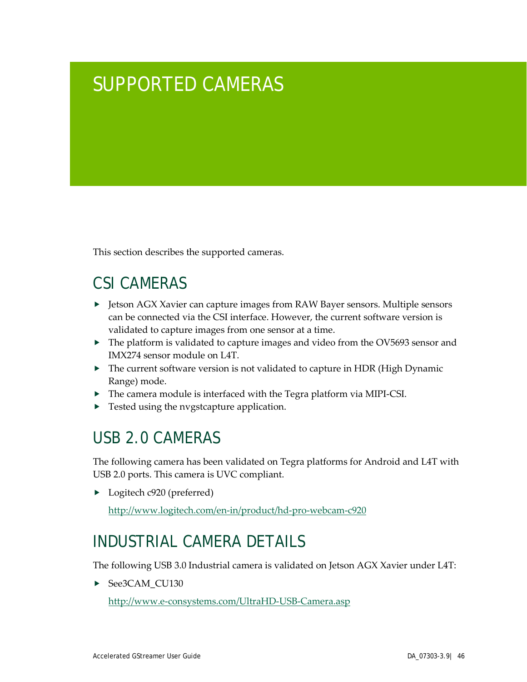# <span id="page-50-0"></span>SUPPORTED CAMERAS

This section describes the supported cameras.

## <span id="page-50-1"></span>CSI CAMERAS

- ▶ Jetson AGX Xavier can capture images from RAW Bayer sensors. Multiple sensors can be connected via the CSI interface. However, the current software version is validated to capture images from one sensor at a time.
- ▶ The platform is validated to capture images and video from the OV5693 sensor and IMX274 sensor module on L4T.
- ▶ The current software version is not validated to capture in HDR (High Dynamic Range) mode.
- The camera module is interfaced with the Tegra platform via MIPI-CSI.
- **Fested using the nvgstcapture application.**

## <span id="page-50-2"></span>USB 2.0 CAMERAS

The following camera has been validated on Tegra platforms for Android and L4T with USB 2.0 ports. This camera is UVC compliant.

▶ Logitech c920 (preferred)

<http://www.logitech.com/en-in/product/hd-pro-webcam-c920>

## <span id="page-50-3"></span>INDUSTRIAL CAMERA DETAILS

The following USB 3.0 Industrial camera is validated on Jetson AGX Xavier under L4T:

See3CAM\_CU130

<http://www.e-consystems.com/UltraHD-USB-Camera.asp>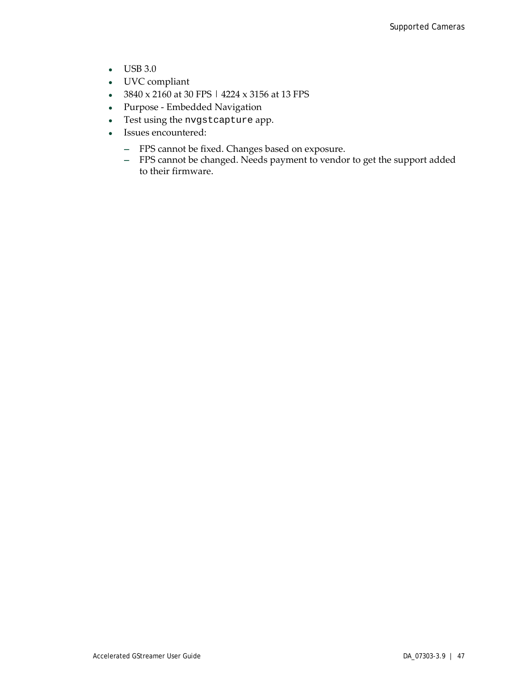- USB 3.0
- UVC compliant
- 3840 x 2160 at 30 FPS | 4224 x 3156 at 13 FPS
- Purpose Embedded Navigation
- Test using the nvgstcapture app.
- Issues encountered:
	- **―** FPS cannot be fixed. Changes based on exposure.
	- **―** FPS cannot be changed. Needs payment to vendor to get the support added to their firmware.